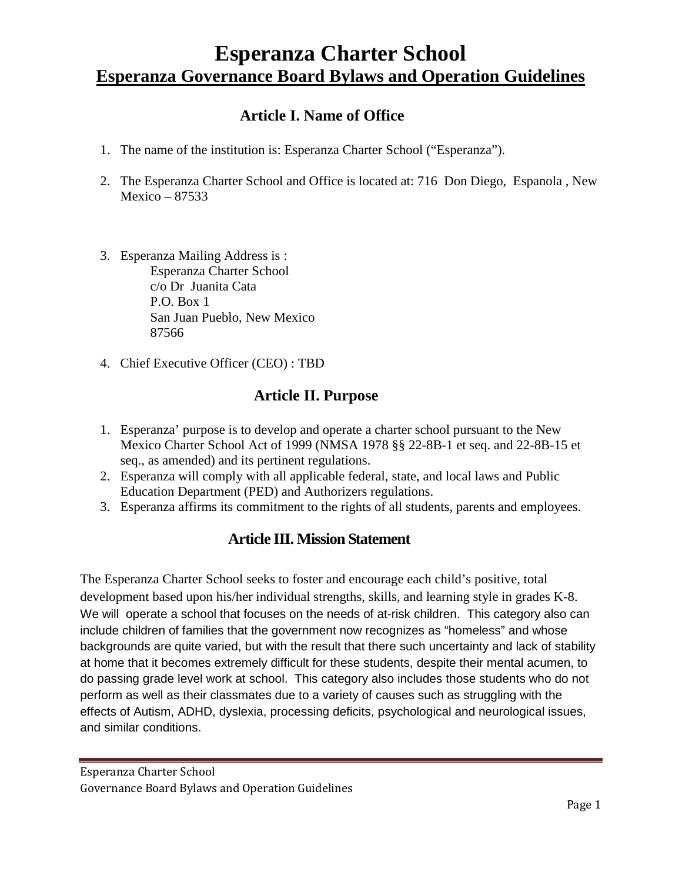# **Esperanza Charter School Esperanza Governance Board Bylaws and Operation Guidelines**

# **Article I. Name of Office**

- 1. The name of the institution is: Esperanza Charter School ("Esperanza").
- 2. The Esperanza Charter School and Office is located at: 716 Don Diego, Espanola , New Mexico – 87533
- 3. Esperanza Mailing Address is : Esperanza Charter School c/o Dr Juanita Cata P.O. Box 1 San Juan Pueblo, New Mexico 87566
- 4. Chief Executive Officer (CEO) : TBD

# **Article II. Purpose**

- 1. Esperanza' purpose is to develop and operate a charter school pursuant to the New Mexico Charter School Act of 1999 (NMSA 1978 §§ 22-8B-1 et seq. and 22-8B-15 et seq., as amended) and its pertinent regulations.
- 2. Esperanza will comply with all applicable federal, state, and local laws and Public Education Department (PED) and Authorizers regulations.
- 3. Esperanza affirms its commitment to the rights of all students, parents and employees.

## **Article III. Mission Statement**

The Esperanza Charter School seeks to foster and encourage each child's positive, total development based upon his/her individual strengths, skills, and learning style in grades K-8. We will operate a school that focuses on the needs of at-risk children. This category also can include children of families that the government now recognizes as "homeless" and whose backgrounds are quite varied, but with the result that there such uncertainty and lack of stability at home that it becomes extremely difficult for these students, despite their mental acumen, to do passing grade level work at school. This category also includes those students who do not perform as well as their classmates due to a variety of causes such as struggling with the effects of Autism, ADHD, dyslexia, processing deficits, psychological and neurological issues, and similar conditions.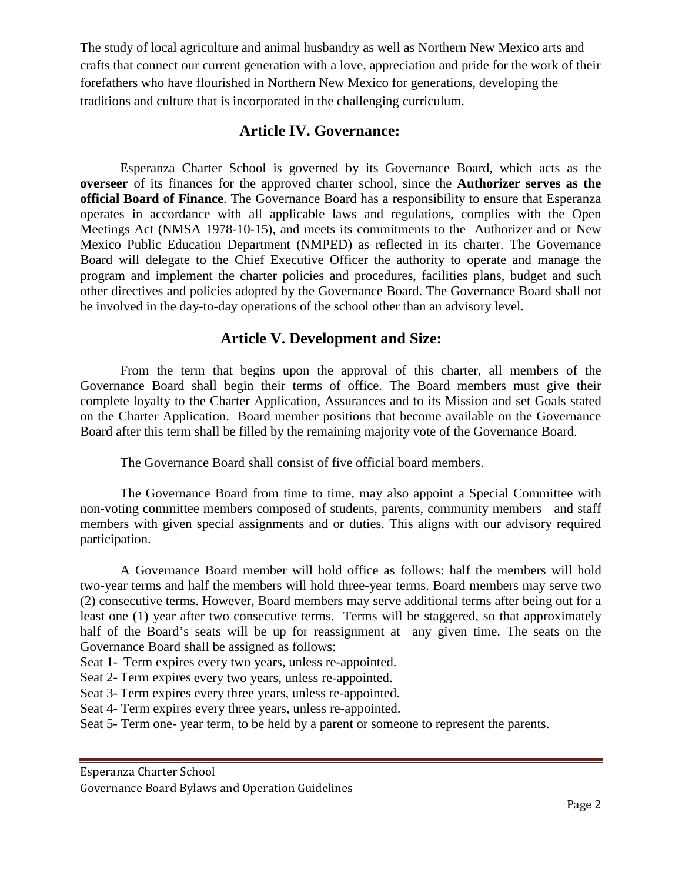The study of local agriculture and animal husbandry as well as Northern New Mexico arts and crafts that connect our current generation with a love, appreciation and pride for the work of their forefathers who have flourished in Northern New Mexico for generations, developing the traditions and culture that is incorporated in the challenging curriculum.

## **Article IV. Governance:**

 Esperanza Charter School is governed by its Governance Board, which acts as the **overseer** of its finances for the approved charter school, since the **Authorizer serves as the official Board of Finance**. The Governance Board has a responsibility to ensure that Esperanza operates in accordance with all applicable laws and regulations, complies with the Open Meetings Act (NMSA 1978-10-15), and meets its commitments to the Authorizer and or New Mexico Public Education Department (NMPED) as reflected in its charter. The Governance Board will delegate to the Chief Executive Officer the authority to operate and manage the program and implement the charter policies and procedures, facilities plans, budget and such other directives and policies adopted by the Governance Board. The Governance Board shall not be involved in the day-to-day operations of the school other than an advisory level.

# **Article V. Development and Size:**

From the term that begins upon the approval of this charter, all members of the Governance Board shall begin their terms of office. The Board members must give their complete loyalty to the Charter Application, Assurances and to its Mission and set Goals stated on the Charter Application. Board member positions that become available on the Governance Board after this term shall be filled by the remaining majority vote of the Governance Board.

The Governance Board shall consist of five official board members.

The Governance Board from time to time, may also appoint a Special Committee with non-voting committee members composed of students, parents, community members and staff members with given special assignments and or duties. This aligns with our advisory required participation.

A Governance Board member will hold office as follows: half the members will hold two-year terms and half the members will hold three-year terms. Board members may serve two (2) consecutive terms. However, Board members may serve additional terms after being out for a least one (1) year after two consecutive terms. Terms will be staggered, so that approximately half of the Board's seats will be up for reassignment at any given time. The seats on the Governance Board shall be assigned as follows:

Seat 1- Term expires every two years, unless re-appointed.

Seat 2- Term expires every two years, unless re-appointed.

Seat 3- Term expires every three years, unless re-appointed.

Seat 4- Term expires every three years, unless re-appointed.

Seat 5- Term one- year term, to be held by a parent or someone to represent the parents.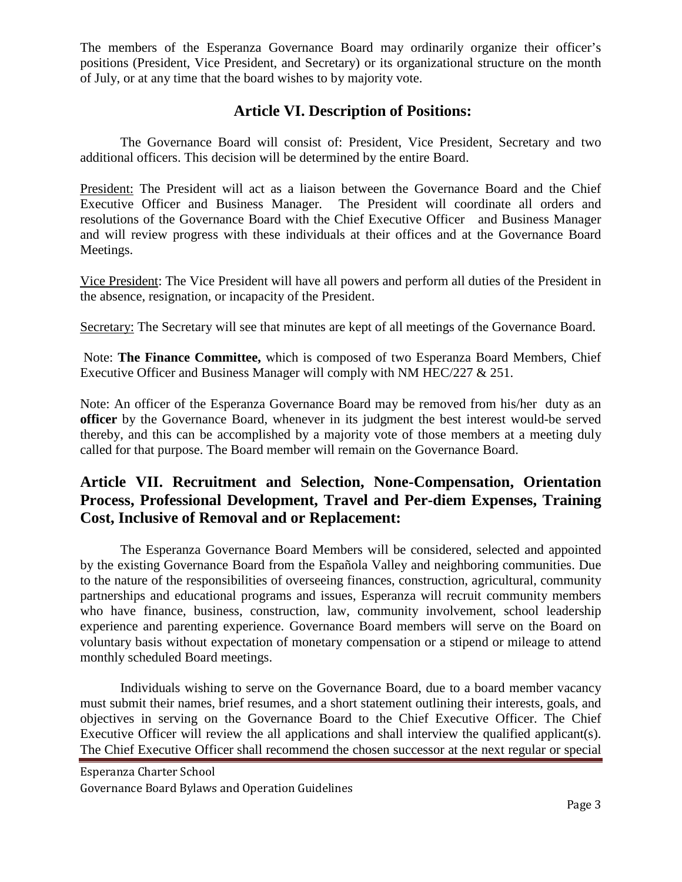The members of the Esperanza Governance Board may ordinarily organize their officer's positions (President, Vice President, and Secretary) or its organizational structure on the month of July, or at any time that the board wishes to by majority vote.

## **Article VI. Description of Positions:**

The Governance Board will consist of: President, Vice President, Secretary and two additional officers. This decision will be determined by the entire Board.

President: The President will act as a liaison between the Governance Board and the Chief Executive Officer and Business Manager. The President will coordinate all orders and resolutions of the Governance Board with the Chief Executive Officer and Business Manager and will review progress with these individuals at their offices and at the Governance Board Meetings.

Vice President: The Vice President will have all powers and perform all duties of the President in the absence, resignation, or incapacity of the President.

Secretary: The Secretary will see that minutes are kept of all meetings of the Governance Board.

Note: **The Finance Committee,** which is composed of two Esperanza Board Members, Chief Executive Officer and Business Manager will comply with NM HEC/227 & 251.

Note: An officer of the Esperanza Governance Board may be removed from his/her duty as an **officer** by the Governance Board, whenever in its judgment the best interest would-be served thereby, and this can be accomplished by a majority vote of those members at a meeting duly called for that purpose. The Board member will remain on the Governance Board.

# **Article VII. Recruitment and Selection, None-Compensation, Orientation Process, Professional Development, Travel and Per-diem Expenses, Training Cost, Inclusive of Removal and or Replacement:**

The Esperanza Governance Board Members will be considered, selected and appointed by the existing Governance Board from the Española Valley and neighboring communities. Due to the nature of the responsibilities of overseeing finances, construction, agricultural, community partnerships and educational programs and issues, Esperanza will recruit community members who have finance, business, construction, law, community involvement, school leadership experience and parenting experience. Governance Board members will serve on the Board on voluntary basis without expectation of monetary compensation or a stipend or mileage to attend monthly scheduled Board meetings.

Individuals wishing to serve on the Governance Board, due to a board member vacancy must submit their names, brief resumes, and a short statement outlining their interests, goals, and objectives in serving on the Governance Board to the Chief Executive Officer. The Chief Executive Officer will review the all applications and shall interview the qualified applicant(s). The Chief Executive Officer shall recommend the chosen successor at the next regular or special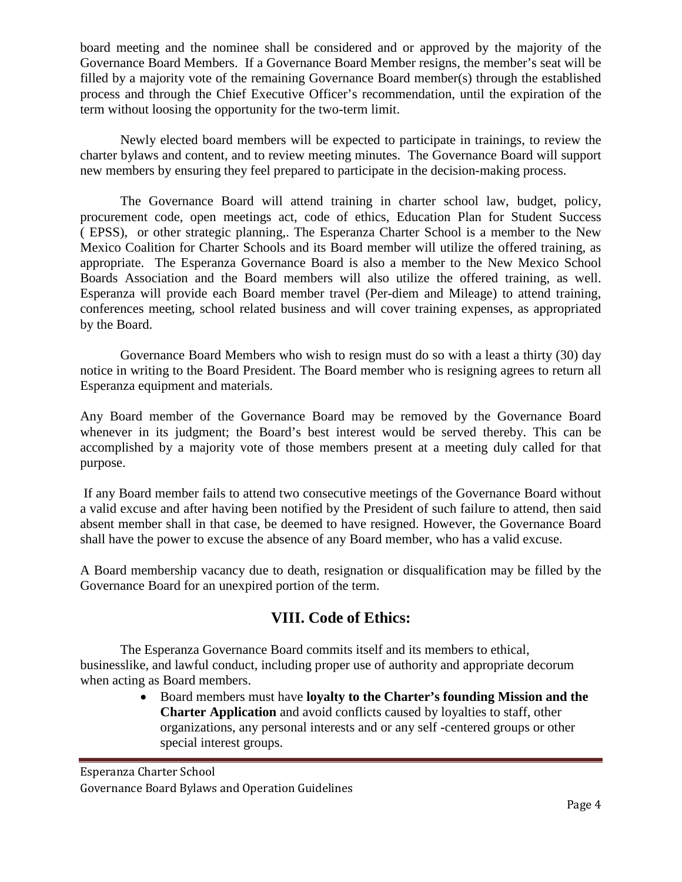board meeting and the nominee shall be considered and or approved by the majority of the Governance Board Members. If a Governance Board Member resigns, the member's seat will be filled by a majority vote of the remaining Governance Board member(s) through the established process and through the Chief Executive Officer's recommendation, until the expiration of the term without loosing the opportunity for the two-term limit.

Newly elected board members will be expected to participate in trainings, to review the charter bylaws and content, and to review meeting minutes. The Governance Board will support new members by ensuring they feel prepared to participate in the decision-making process.

The Governance Board will attend training in charter school law, budget, policy, procurement code, open meetings act, code of ethics, Education Plan for Student Success ( EPSS), or other strategic planning,. The Esperanza Charter School is a member to the New Mexico Coalition for Charter Schools and its Board member will utilize the offered training, as appropriate. The Esperanza Governance Board is also a member to the New Mexico School Boards Association and the Board members will also utilize the offered training, as well. Esperanza will provide each Board member travel (Per-diem and Mileage) to attend training, conferences meeting, school related business and will cover training expenses, as appropriated by the Board.

Governance Board Members who wish to resign must do so with a least a thirty (30) day notice in writing to the Board President. The Board member who is resigning agrees to return all Esperanza equipment and materials.

Any Board member of the Governance Board may be removed by the Governance Board whenever in its judgment; the Board's best interest would be served thereby. This can be accomplished by a majority vote of those members present at a meeting duly called for that purpose.

If any Board member fails to attend two consecutive meetings of the Governance Board without a valid excuse and after having been notified by the President of such failure to attend, then said absent member shall in that case, be deemed to have resigned. However, the Governance Board shall have the power to excuse the absence of any Board member, who has a valid excuse.

A Board membership vacancy due to death, resignation or disqualification may be filled by the Governance Board for an unexpired portion of the term.

# **VIII. Code of Ethics:**

The Esperanza Governance Board commits itself and its members to ethical, businesslike, and lawful conduct, including proper use of authority and appropriate decorum when acting as Board members.

> • Board members must have **loyalty to the Charter's founding Mission and the Charter Application** and avoid conflicts caused by loyalties to staff, other organizations, any personal interests and or any self -centered groups or other special interest groups.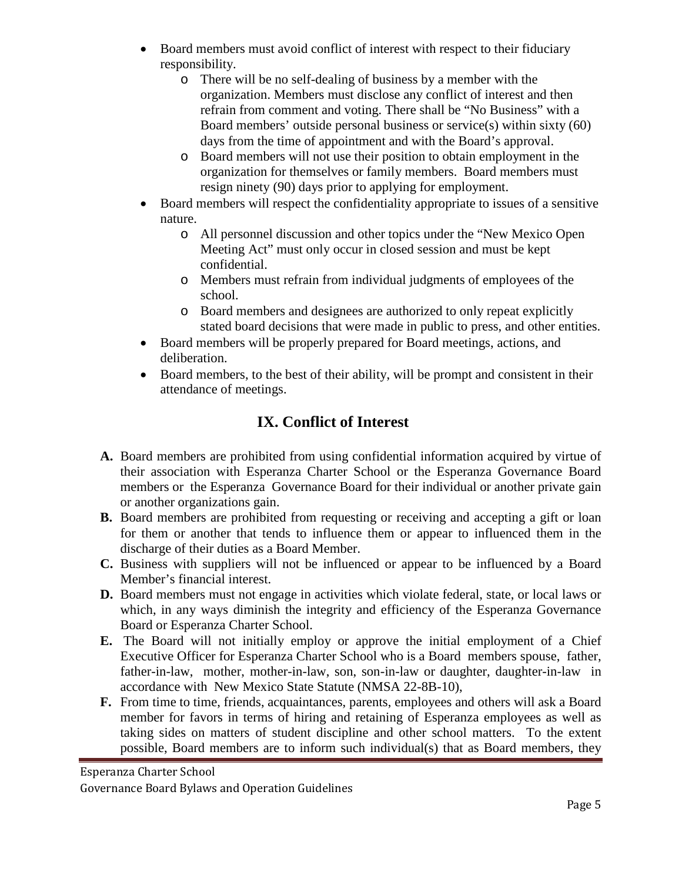- Board members must avoid conflict of interest with respect to their fiduciary responsibility.
	- o There will be no self-dealing of business by a member with the organization. Members must disclose any conflict of interest and then refrain from comment and voting. There shall be "No Business" with a Board members' outside personal business or service(s) within sixty (60) days from the time of appointment and with the Board's approval.
	- o Board members will not use their position to obtain employment in the organization for themselves or family members. Board members must resign ninety (90) days prior to applying for employment.
- Board members will respect the confidentiality appropriate to issues of a sensitive nature.
	- o All personnel discussion and other topics under the "New Mexico Open Meeting Act" must only occur in closed session and must be kept confidential.
	- o Members must refrain from individual judgments of employees of the school.
	- o Board members and designees are authorized to only repeat explicitly stated board decisions that were made in public to press, and other entities.
- Board members will be properly prepared for Board meetings, actions, and deliberation.
- Board members, to the best of their ability, will be prompt and consistent in their attendance of meetings.

# **IX. Conflict of Interest**

- **A.** Board members are prohibited from using confidential information acquired by virtue of their association with Esperanza Charter School or the Esperanza Governance Board members or the Esperanza Governance Board for their individual or another private gain or another organizations gain.
- **B.** Board members are prohibited from requesting or receiving and accepting a gift or loan for them or another that tends to influence them or appear to influenced them in the discharge of their duties as a Board Member.
- **C.** Business with suppliers will not be influenced or appear to be influenced by a Board Member's financial interest.
- **D.** Board members must not engage in activities which violate federal, state, or local laws or which, in any ways diminish the integrity and efficiency of the Esperanza Governance Board or Esperanza Charter School.
- **E.** The Board will not initially employ or approve the initial employment of a Chief Executive Officer for Esperanza Charter School who is a Board members spouse, father, father-in-law, mother, mother-in-law, son, son-in-law or daughter, daughter-in-law in accordance with New Mexico State Statute (NMSA 22-8B-10),
- **F.** From time to time, friends, acquaintances, parents, employees and others will ask a Board member for favors in terms of hiring and retaining of Esperanza employees as well as taking sides on matters of student discipline and other school matters. To the extent possible, Board members are to inform such individual(s) that as Board members, they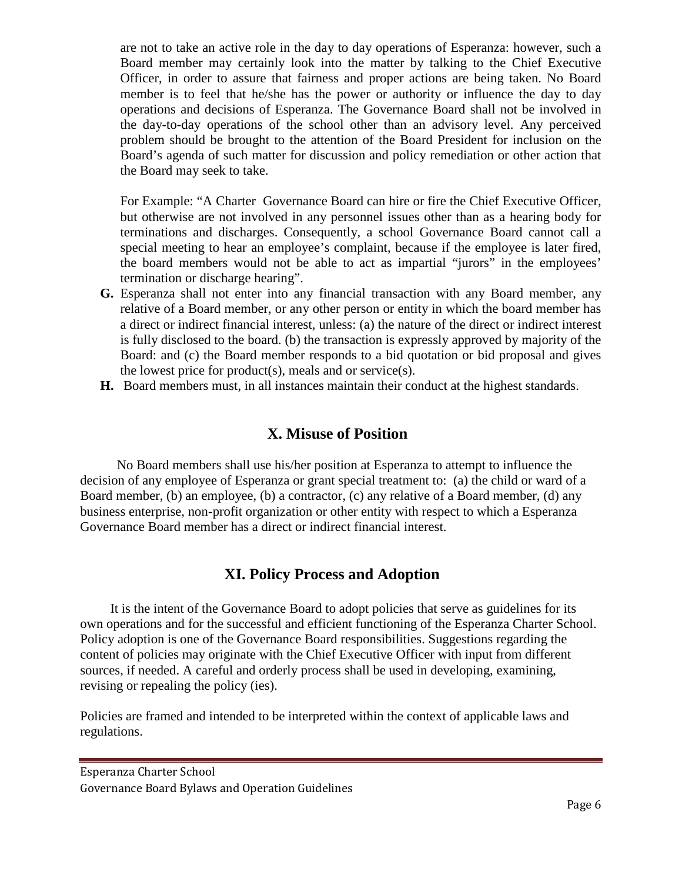are not to take an active role in the day to day operations of Esperanza: however, such a Board member may certainly look into the matter by talking to the Chief Executive Officer, in order to assure that fairness and proper actions are being taken. No Board member is to feel that he/she has the power or authority or influence the day to day operations and decisions of Esperanza. The Governance Board shall not be involved in the day-to-day operations of the school other than an advisory level. Any perceived problem should be brought to the attention of the Board President for inclusion on the Board's agenda of such matter for discussion and policy remediation or other action that the Board may seek to take.

For Example: "A Charter Governance Board can hire or fire the Chief Executive Officer, but otherwise are not involved in any personnel issues other than as a hearing body for terminations and discharges. Consequently, a school Governance Board cannot call a special meeting to hear an employee's complaint, because if the employee is later fired, the board members would not be able to act as impartial "jurors" in the employees' termination or discharge hearing".

- **G.** Esperanza shall not enter into any financial transaction with any Board member, any relative of a Board member, or any other person or entity in which the board member has a direct or indirect financial interest, unless: (a) the nature of the direct or indirect interest is fully disclosed to the board. (b) the transaction is expressly approved by majority of the Board: and (c) the Board member responds to a bid quotation or bid proposal and gives the lowest price for product(s), meals and or service(s).
- **H.** Board members must, in all instances maintain their conduct at the highest standards.

# **X. Misuse of Position**

 No Board members shall use his/her position at Esperanza to attempt to influence the decision of any employee of Esperanza or grant special treatment to: (a) the child or ward of a Board member, (b) an employee, (b) a contractor, (c) any relative of a Board member, (d) any business enterprise, non-profit organization or other entity with respect to which a Esperanza Governance Board member has a direct or indirect financial interest.

# **XI. Policy Process and Adoption**

 It is the intent of the Governance Board to adopt policies that serve as guidelines for its own operations and for the successful and efficient functioning of the Esperanza Charter School. Policy adoption is one of the Governance Board responsibilities. Suggestions regarding the content of policies may originate with the Chief Executive Officer with input from different sources, if needed. A careful and orderly process shall be used in developing, examining, revising or repealing the policy (ies).

Policies are framed and intended to be interpreted within the context of applicable laws and regulations.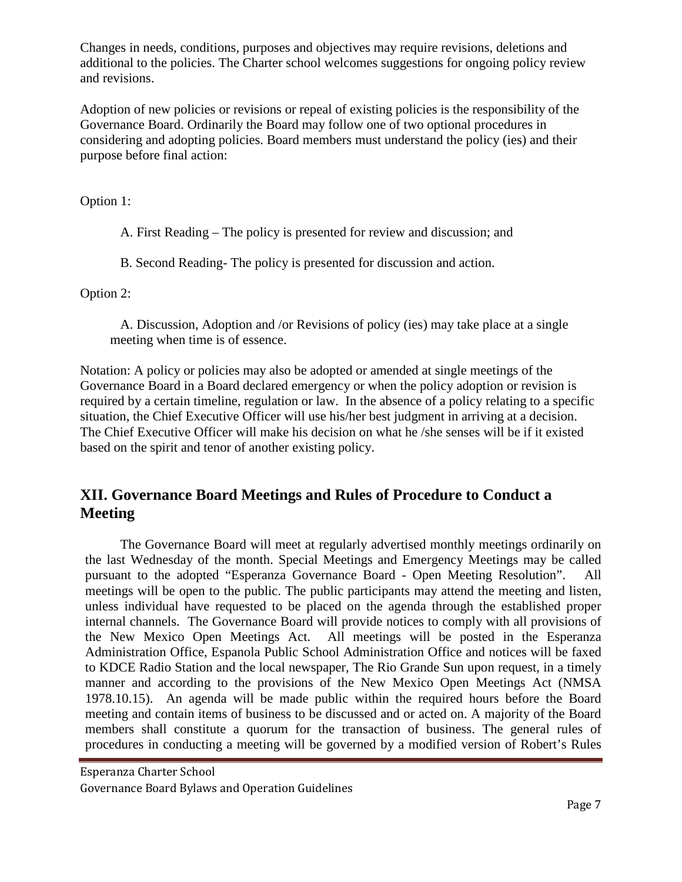Changes in needs, conditions, purposes and objectives may require revisions, deletions and additional to the policies. The Charter school welcomes suggestions for ongoing policy review and revisions.

Adoption of new policies or revisions or repeal of existing policies is the responsibility of the Governance Board. Ordinarily the Board may follow one of two optional procedures in considering and adopting policies. Board members must understand the policy (ies) and their purpose before final action:

Option 1:

A. First Reading – The policy is presented for review and discussion; and

B. Second Reading- The policy is presented for discussion and action.

Option 2:

 A. Discussion, Adoption and /or Revisions of policy (ies) may take place at a single meeting when time is of essence.

Notation: A policy or policies may also be adopted or amended at single meetings of the Governance Board in a Board declared emergency or when the policy adoption or revision is required by a certain timeline, regulation or law. In the absence of a policy relating to a specific situation, the Chief Executive Officer will use his/her best judgment in arriving at a decision. The Chief Executive Officer will make his decision on what he /she senses will be if it existed based on the spirit and tenor of another existing policy.

# **XII. Governance Board Meetings and Rules of Procedure to Conduct a Meeting**

The Governance Board will meet at regularly advertised monthly meetings ordinarily on the last Wednesday of the month. Special Meetings and Emergency Meetings may be called pursuant to the adopted "Esperanza Governance Board - Open Meeting Resolution". All meetings will be open to the public. The public participants may attend the meeting and listen, unless individual have requested to be placed on the agenda through the established proper internal channels. The Governance Board will provide notices to comply with all provisions of the New Mexico Open Meetings Act. All meetings will be posted in the Esperanza Administration Office, Espanola Public School Administration Office and notices will be faxed to KDCE Radio Station and the local newspaper, The Rio Grande Sun upon request, in a timely manner and according to the provisions of the New Mexico Open Meetings Act (NMSA 1978.10.15). An agenda will be made public within the required hours before the Board meeting and contain items of business to be discussed and or acted on. A majority of the Board members shall constitute a quorum for the transaction of business. The general rules of procedures in conducting a meeting will be governed by a modified version of Robert's Rules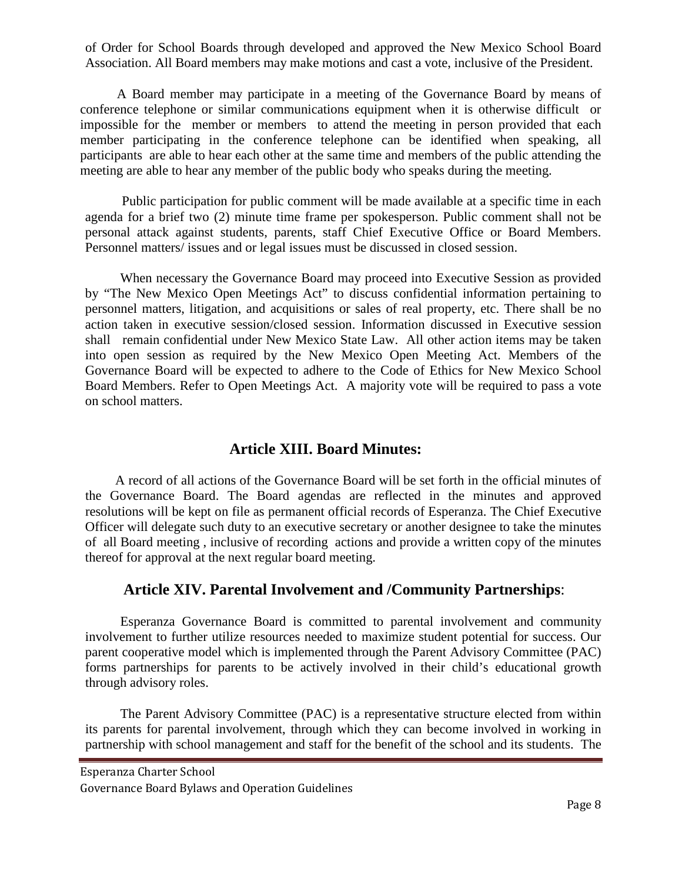of Order for School Boards through developed and approved the New Mexico School Board Association. All Board members may make motions and cast a vote, inclusive of the President.

 A Board member may participate in a meeting of the Governance Board by means of conference telephone or similar communications equipment when it is otherwise difficult or impossible for the member or members to attend the meeting in person provided that each member participating in the conference telephone can be identified when speaking, all participants are able to hear each other at the same time and members of the public attending the meeting are able to hear any member of the public body who speaks during the meeting.

 Public participation for public comment will be made available at a specific time in each agenda for a brief two (2) minute time frame per spokesperson. Public comment shall not be personal attack against students, parents, staff Chief Executive Office or Board Members. Personnel matters/ issues and or legal issues must be discussed in closed session.

When necessary the Governance Board may proceed into Executive Session as provided by "The New Mexico Open Meetings Act" to discuss confidential information pertaining to personnel matters, litigation, and acquisitions or sales of real property, etc. There shall be no action taken in executive session/closed session. Information discussed in Executive session shall remain confidential under New Mexico State Law. All other action items may be taken into open session as required by the New Mexico Open Meeting Act. Members of the Governance Board will be expected to adhere to the Code of Ethics for New Mexico School Board Members. Refer to Open Meetings Act. A majority vote will be required to pass a vote on school matters.

## **Article XIII. Board Minutes:**

 A record of all actions of the Governance Board will be set forth in the official minutes of the Governance Board. The Board agendas are reflected in the minutes and approved resolutions will be kept on file as permanent official records of Esperanza. The Chief Executive Officer will delegate such duty to an executive secretary or another designee to take the minutes of all Board meeting , inclusive of recording actions and provide a written copy of the minutes thereof for approval at the next regular board meeting.

## **Article XIV. Parental Involvement and /Community Partnerships**:

Esperanza Governance Board is committed to parental involvement and community involvement to further utilize resources needed to maximize student potential for success. Our parent cooperative model which is implemented through the Parent Advisory Committee (PAC) forms partnerships for parents to be actively involved in their child's educational growth through advisory roles.

The Parent Advisory Committee (PAC) is a representative structure elected from within its parents for parental involvement, through which they can become involved in working in partnership with school management and staff for the benefit of the school and its students. The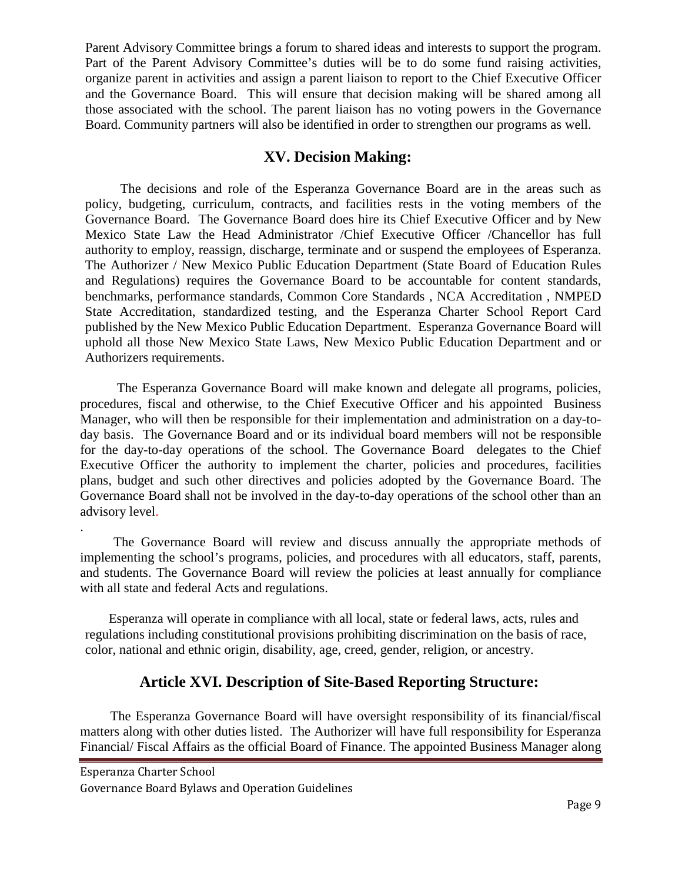Parent Advisory Committee brings a forum to shared ideas and interests to support the program. Part of the Parent Advisory Committee's duties will be to do some fund raising activities, organize parent in activities and assign a parent liaison to report to the Chief Executive Officer and the Governance Board. This will ensure that decision making will be shared among all those associated with the school. The parent liaison has no voting powers in the Governance Board. Community partners will also be identified in order to strengthen our programs as well.

# **XV. Decision Making:**

The decisions and role of the Esperanza Governance Board are in the areas such as policy, budgeting, curriculum, contracts, and facilities rests in the voting members of the Governance Board. The Governance Board does hire its Chief Executive Officer and by New Mexico State Law the Head Administrator /Chief Executive Officer /Chancellor has full authority to employ, reassign, discharge, terminate and or suspend the employees of Esperanza. The Authorizer / New Mexico Public Education Department (State Board of Education Rules and Regulations) requires the Governance Board to be accountable for content standards, benchmarks, performance standards, Common Core Standards , NCA Accreditation , NMPED State Accreditation, standardized testing, and the Esperanza Charter School Report Card published by the New Mexico Public Education Department. Esperanza Governance Board will uphold all those New Mexico State Laws, New Mexico Public Education Department and or Authorizers requirements.

 The Esperanza Governance Board will make known and delegate all programs, policies, procedures, fiscal and otherwise, to the Chief Executive Officer and his appointed Business Manager, who will then be responsible for their implementation and administration on a day-today basis. The Governance Board and or its individual board members will not be responsible for the day-to-day operations of the school. The Governance Board delegates to the Chief Executive Officer the authority to implement the charter, policies and procedures, facilities plans, budget and such other directives and policies adopted by the Governance Board. The Governance Board shall not be involved in the day-to-day operations of the school other than an advisory level.

. The Governance Board will review and discuss annually the appropriate methods of implementing the school's programs, policies, and procedures with all educators, staff, parents, and students. The Governance Board will review the policies at least annually for compliance with all state and federal Acts and regulations.

 Esperanza will operate in compliance with all local, state or federal laws, acts, rules and regulations including constitutional provisions prohibiting discrimination on the basis of race, color, national and ethnic origin, disability, age, creed, gender, religion, or ancestry.

# **Article XVI. Description of Site-Based Reporting Structure:**

 The Esperanza Governance Board will have oversight responsibility of its financial/fiscal matters along with other duties listed. The Authorizer will have full responsibility for Esperanza Financial/ Fiscal Affairs as the official Board of Finance. The appointed Business Manager along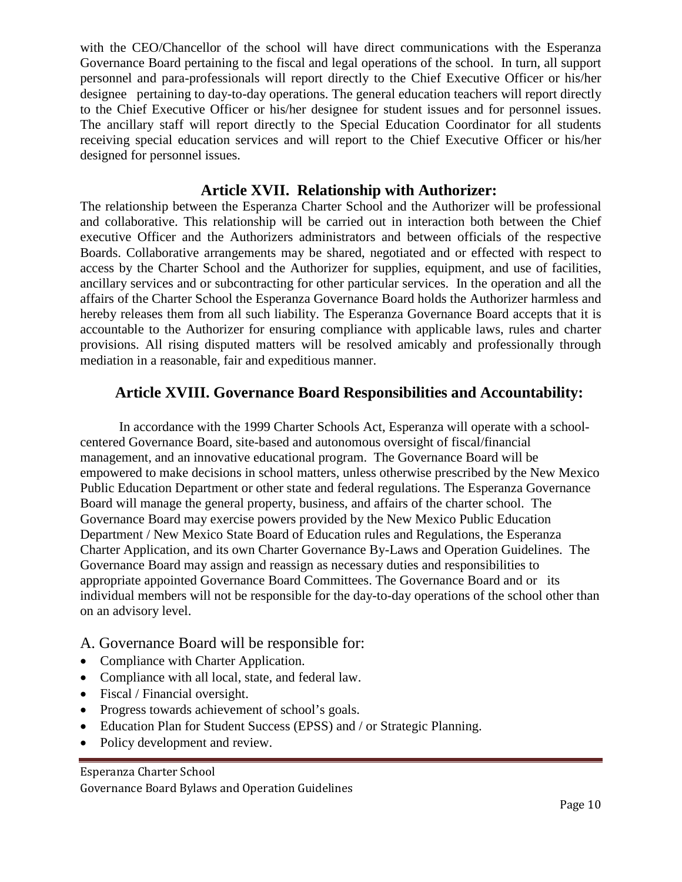with the CEO/Chancellor of the school will have direct communications with the Esperanza Governance Board pertaining to the fiscal and legal operations of the school. In turn, all support personnel and para-professionals will report directly to the Chief Executive Officer or his/her designee pertaining to day-to-day operations. The general education teachers will report directly to the Chief Executive Officer or his/her designee for student issues and for personnel issues. The ancillary staff will report directly to the Special Education Coordinator for all students receiving special education services and will report to the Chief Executive Officer or his/her designed for personnel issues.

## **Article XVII. Relationship with Authorizer:**

The relationship between the Esperanza Charter School and the Authorizer will be professional and collaborative. This relationship will be carried out in interaction both between the Chief executive Officer and the Authorizers administrators and between officials of the respective Boards. Collaborative arrangements may be shared, negotiated and or effected with respect to access by the Charter School and the Authorizer for supplies, equipment, and use of facilities, ancillary services and or subcontracting for other particular services. In the operation and all the affairs of the Charter School the Esperanza Governance Board holds the Authorizer harmless and hereby releases them from all such liability. The Esperanza Governance Board accepts that it is accountable to the Authorizer for ensuring compliance with applicable laws, rules and charter provisions. All rising disputed matters will be resolved amicably and professionally through mediation in a reasonable, fair and expeditious manner.

## **Article XVIII. Governance Board Responsibilities and Accountability:**

In accordance with the 1999 Charter Schools Act, Esperanza will operate with a schoolcentered Governance Board, site-based and autonomous oversight of fiscal/financial management, and an innovative educational program. The Governance Board will be empowered to make decisions in school matters, unless otherwise prescribed by the New Mexico Public Education Department or other state and federal regulations. The Esperanza Governance Board will manage the general property, business, and affairs of the charter school. The Governance Board may exercise powers provided by the New Mexico Public Education Department / New Mexico State Board of Education rules and Regulations, the Esperanza Charter Application, and its own Charter Governance By-Laws and Operation Guidelines. The Governance Board may assign and reassign as necessary duties and responsibilities to appropriate appointed Governance Board Committees. The Governance Board and or its individual members will not be responsible for the day-to-day operations of the school other than on an advisory level.

#### A. Governance Board will be responsible for:

- Compliance with Charter Application.
- Compliance with all local, state, and federal law.
- Fiscal / Financial oversight.
- Progress towards achievement of school's goals.
- Education Plan for Student Success (EPSS) and / or Strategic Planning.
- Policy development and review.

Esperanza Charter School Governance Board Bylaws and Operation Guidelines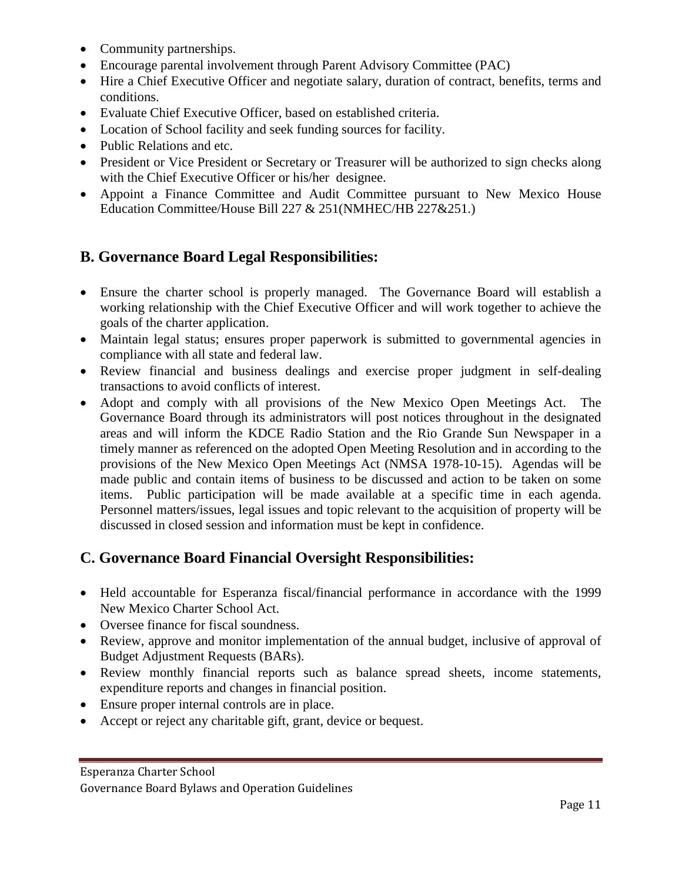- Community partnerships.
- Encourage parental involvement through Parent Advisory Committee (PAC)
- Hire a Chief Executive Officer and negotiate salary, duration of contract, benefits, terms and conditions.
- Evaluate Chief Executive Officer, based on established criteria.
- Location of School facility and seek funding sources for facility.
- Public Relations and etc.
- President or Vice President or Secretary or Treasurer will be authorized to sign checks along with the Chief Executive Officer or his/her designee.
- Appoint a Finance Committee and Audit Committee pursuant to New Mexico House Education Committee/House Bill 227 & 251(NMHEC/HB 227&251.)

# **B. Governance Board Legal Responsibilities:**

- Ensure the charter school is properly managed. The Governance Board will establish a working relationship with the Chief Executive Officer and will work together to achieve the goals of the charter application.
- Maintain legal status; ensures proper paperwork is submitted to governmental agencies in compliance with all state and federal law.
- Review financial and business dealings and exercise proper judgment in self-dealing transactions to avoid conflicts of interest.
- Adopt and comply with all provisions of the New Mexico Open Meetings Act. The Governance Board through its administrators will post notices throughout in the designated areas and will inform the KDCE Radio Station and the Rio Grande Sun Newspaper in a timely manner as referenced on the adopted Open Meeting Resolution and in according to the provisions of the New Mexico Open Meetings Act (NMSA 1978-10-15). Agendas will be made public and contain items of business to be discussed and action to be taken on some items. Public participation will be made available at a specific time in each agenda. Personnel matters/issues, legal issues and topic relevant to the acquisition of property will be discussed in closed session and information must be kept in confidence.

# **C. Governance Board Financial Oversight Responsibilities:**

- Held accountable for Esperanza fiscal/financial performance in accordance with the 1999 New Mexico Charter School Act.
- Oversee finance for fiscal soundness.
- Review, approve and monitor implementation of the annual budget, inclusive of approval of Budget Adjustment Requests (BARs).
- Review monthly financial reports such as balance spread sheets, income statements, expenditure reports and changes in financial position.
- Ensure proper internal controls are in place.
- Accept or reject any charitable gift, grant, device or bequest.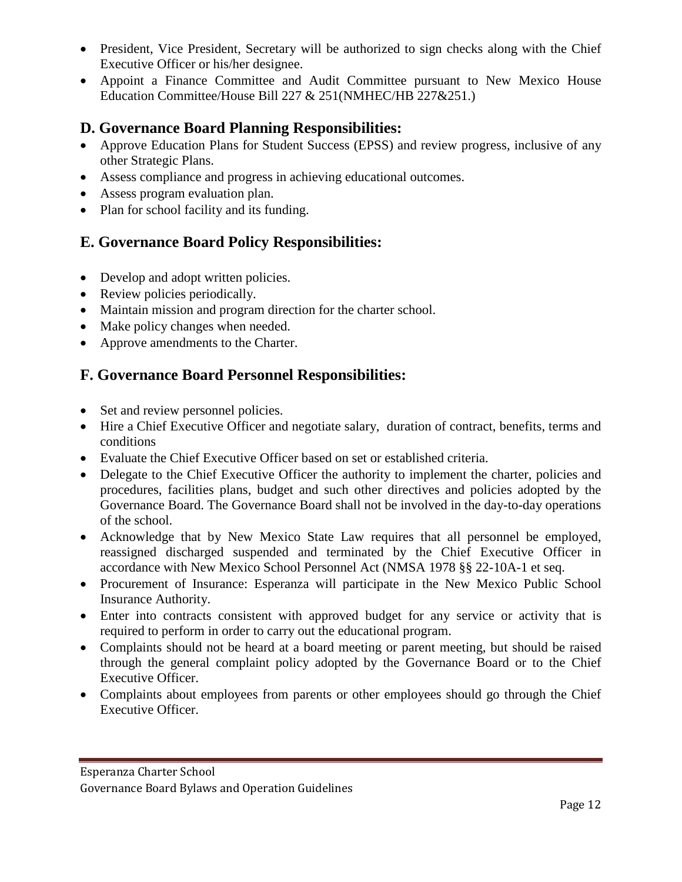- President, Vice President, Secretary will be authorized to sign checks along with the Chief Executive Officer or his/her designee.
- Appoint a Finance Committee and Audit Committee pursuant to New Mexico House Education Committee/House Bill 227 & 251(NMHEC/HB 227&251.)

## **D. Governance Board Planning Responsibilities:**

- Approve Education Plans for Student Success (EPSS) and review progress, inclusive of any other Strategic Plans.
- Assess compliance and progress in achieving educational outcomes.
- Assess program evaluation plan.
- Plan for school facility and its funding.

# **E. Governance Board Policy Responsibilities:**

- Develop and adopt written policies.
- Review policies periodically.
- Maintain mission and program direction for the charter school.
- Make policy changes when needed.
- Approve amendments to the Charter.

# **F. Governance Board Personnel Responsibilities:**

- Set and review personnel policies.
- Hire a Chief Executive Officer and negotiate salary, duration of contract, benefits, terms and conditions
- Evaluate the Chief Executive Officer based on set or established criteria.
- Delegate to the Chief Executive Officer the authority to implement the charter, policies and procedures, facilities plans, budget and such other directives and policies adopted by the Governance Board. The Governance Board shall not be involved in the day-to-day operations of the school.
- Acknowledge that by New Mexico State Law requires that all personnel be employed, reassigned discharged suspended and terminated by the Chief Executive Officer in accordance with New Mexico School Personnel Act (NMSA 1978 §§ 22-10A-1 et seq.
- Procurement of Insurance: Esperanza will participate in the New Mexico Public School Insurance Authority.
- Enter into contracts consistent with approved budget for any service or activity that is required to perform in order to carry out the educational program.
- Complaints should not be heard at a board meeting or parent meeting, but should be raised through the general complaint policy adopted by the Governance Board or to the Chief Executive Officer.
- Complaints about employees from parents or other employees should go through the Chief Executive Officer.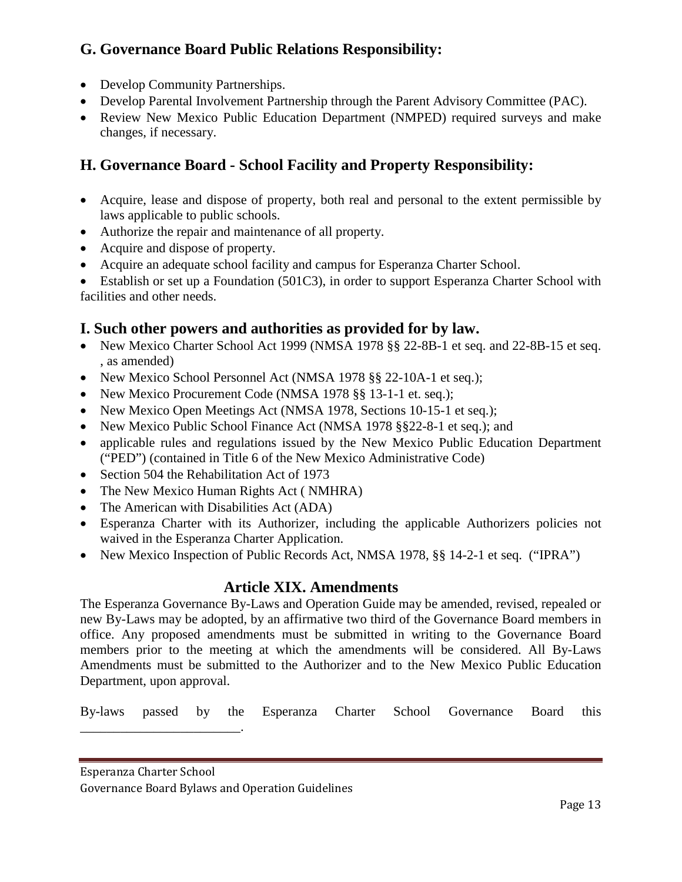# **G. Governance Board Public Relations Responsibility:**

- Develop Community Partnerships.
- Develop Parental Involvement Partnership through the Parent Advisory Committee (PAC).
- Review New Mexico Public Education Department (NMPED) required surveys and make changes, if necessary.

# **H. Governance Board - School Facility and Property Responsibility:**

- Acquire, lease and dispose of property, both real and personal to the extent permissible by laws applicable to public schools.
- Authorize the repair and maintenance of all property.
- Acquire and dispose of property.
- Acquire an adequate school facility and campus for Esperanza Charter School.

• Establish or set up a Foundation (501C3), in order to support Esperanza Charter School with facilities and other needs.

# **I. Such other powers and authorities as provided for by law.**

- New Mexico Charter School Act 1999 (NMSA 1978 §§ 22-8B-1 et seq. and 22-8B-15 et seq. , as amended)
- New Mexico School Personnel Act (NMSA 1978 §§ 22-10A-1 et seq.);
- New Mexico Procurement Code (NMSA 1978 §§ 13-1-1 et. seq.);
- New Mexico Open Meetings Act (NMSA 1978, Sections 10-15-1 et seq.);
- New Mexico Public School Finance Act (NMSA 1978 §§22-8-1 et seq.); and
- applicable rules and regulations issued by the New Mexico Public Education Department ("PED") (contained in Title 6 of the New Mexico Administrative Code)
- Section 504 the Rehabilitation Act of 1973
- The New Mexico Human Rights Act (NMHRA)
- The American with Disabilities Act (ADA)
- Esperanza Charter with its Authorizer, including the applicable Authorizers policies not waived in the Esperanza Charter Application.
- New Mexico Inspection of Public Records Act, NMSA 1978, §§ 14-2-1 et seq. ("IPRA")

## **Article XIX. Amendments**

The Esperanza Governance By-Laws and Operation Guide may be amended, revised, repealed or new By-Laws may be adopted, by an affirmative two third of the Governance Board members in office. Any proposed amendments must be submitted in writing to the Governance Board members prior to the meeting at which the amendments will be considered. All By-Laws Amendments must be submitted to the Authorizer and to the New Mexico Public Education Department, upon approval.

By-laws passed by the Esperanza Charter School Governance Board this

Esperanza Charter School

\_\_\_\_\_\_\_\_\_\_\_\_\_\_\_\_\_\_\_\_\_\_\_\_.

Governance Board Bylaws and Operation Guidelines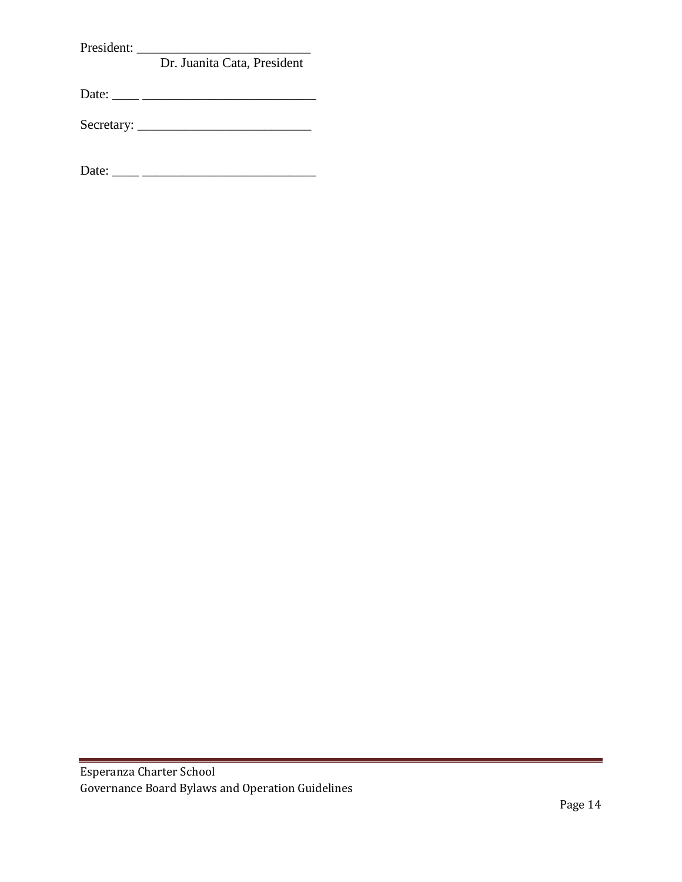President: \_\_\_\_\_\_\_\_\_\_\_\_\_\_\_\_\_\_\_\_\_\_\_\_\_\_

## Dr. Juanita Cata, President

Date: \_\_\_\_ \_\_\_\_\_\_\_\_\_\_\_\_\_\_\_\_\_\_\_\_\_\_\_\_\_\_

Secretary: \_\_\_\_\_\_\_\_\_\_\_\_\_\_\_\_\_\_\_\_\_\_\_\_\_\_

Date: \_\_\_\_ \_\_\_\_\_\_\_\_\_\_\_\_\_\_\_\_\_\_\_\_\_\_\_\_\_\_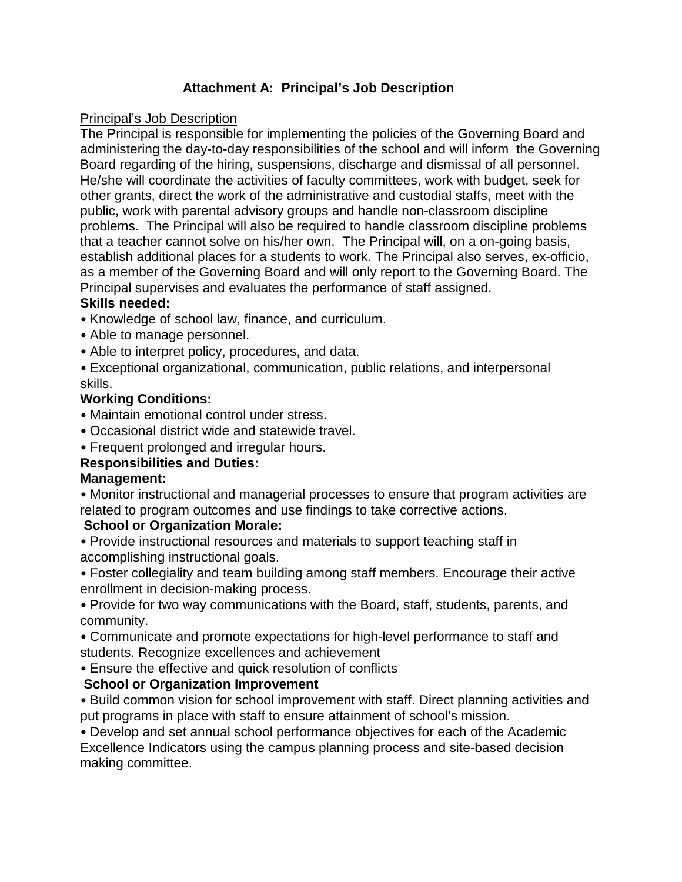# **Attachment A: Principal's Job Description**

#### Principal's Job Description

The Principal is responsible for implementing the policies of the Governing Board and administering the day-to-day responsibilities of the school and will inform the Governing Board regarding of the hiring, suspensions, discharge and dismissal of all personnel. He/she will coordinate the activities of faculty committees, work with budget, seek for other grants, direct the work of the administrative and custodial staffs, meet with the public, work with parental advisory groups and handle non-classroom discipline problems. The Principal will also be required to handle classroom discipline problems that a teacher cannot solve on his/her own. The Principal will, on a on-going basis, establish additional places for a students to work. The Principal also serves, ex-officio, as a member of the Governing Board and will only report to the Governing Board. The Principal supervises and evaluates the performance of staff assigned.

#### **Skills needed:**

- Knowledge of school law, finance, and curriculum.
- Able to manage personnel.
- Able to interpret policy, procedures, and data.
- Exceptional organizational, communication, public relations, and interpersonal skills.

#### **Working Conditions:**

- Maintain emotional control under stress.
- Occasional district wide and statewide travel.
- Frequent prolonged and irregular hours.

## **Responsibilities and Duties:**

#### **Management:**

• Monitor instructional and managerial processes to ensure that program activities are related to program outcomes and use findings to take corrective actions.

#### **School or Organization Morale:**

• Provide instructional resources and materials to support teaching staff in accomplishing instructional goals.

• Foster collegiality and team building among staff members. Encourage their active enrollment in decision-making process.

• Provide for two way communications with the Board, staff, students, parents, and community.

• Communicate and promote expectations for high-level performance to staff and students. Recognize excellences and achievement

• Ensure the effective and quick resolution of conflicts

## **School or Organization Improvement**

• Build common vision for school improvement with staff. Direct planning activities and put programs in place with staff to ensure attainment of school's mission.

• Develop and set annual school performance objectives for each of the Academic Excellence Indicators using the campus planning process and site-based decision making committee.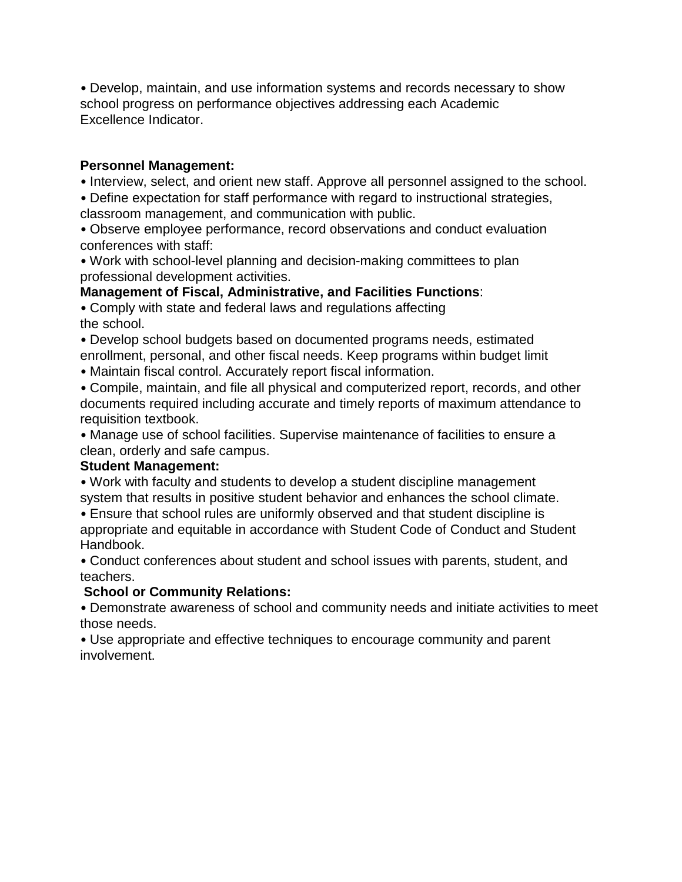• Develop, maintain, and use information systems and records necessary to show school progress on performance objectives addressing each Academic Excellence Indicator.

#### **Personnel Management:**

• Interview, select, and orient new staff. Approve all personnel assigned to the school.

• Define expectation for staff performance with regard to instructional strategies,

classroom management, and communication with public.

• Observe employee performance, record observations and conduct evaluation conferences with staff:

• Work with school-level planning and decision-making committees to plan professional development activities.

## **Management of Fiscal, Administrative, and Facilities Functions**:

• Comply with state and federal laws and regulations affecting the school.

• Develop school budgets based on documented programs needs, estimated enrollment, personal, and other fiscal needs. Keep programs within budget limit

• Maintain fiscal control. Accurately report fiscal information.

• Compile, maintain, and file all physical and computerized report, records, and other documents required including accurate and timely reports of maximum attendance to requisition textbook.

• Manage use of school facilities. Supervise maintenance of facilities to ensure a clean, orderly and safe campus.

## **Student Management:**

• Work with faculty and students to develop a student discipline management system that results in positive student behavior and enhances the school climate.

• Ensure that school rules are uniformly observed and that student discipline is appropriate and equitable in accordance with Student Code of Conduct and Student Handbook.

• Conduct conferences about student and school issues with parents, student, and teachers.

## **School or Community Relations:**

• Demonstrate awareness of school and community needs and initiate activities to meet those needs.

• Use appropriate and effective techniques to encourage community and parent involvement.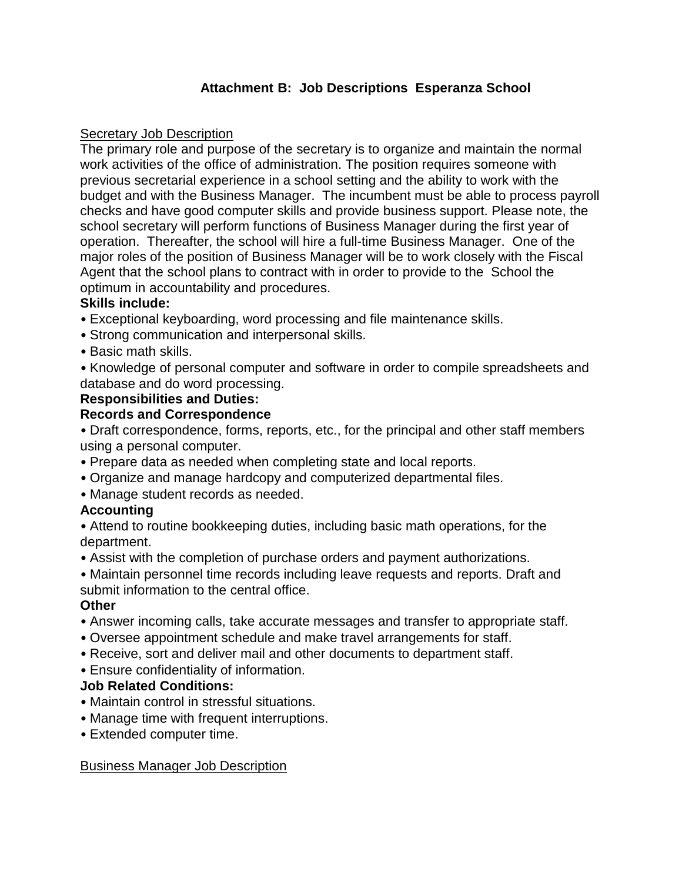# **Attachment B: Job Descriptions Esperanza School**

#### **Secretary Job Description**

The primary role and purpose of the secretary is to organize and maintain the normal work activities of the office of administration. The position requires someone with previous secretarial experience in a school setting and the ability to work with the budget and with the Business Manager. The incumbent must be able to process payroll checks and have good computer skills and provide business support. Please note, the school secretary will perform functions of Business Manager during the first year of operation. Thereafter, the school will hire a full-time Business Manager. One of the major roles of the position of Business Manager will be to work closely with the Fiscal Agent that the school plans to contract with in order to provide to the School the optimum in accountability and procedures.

#### **Skills include:**

- Exceptional keyboarding, word processing and file maintenance skills.
- Strong communication and interpersonal skills.
- Basic math skills.
- Knowledge of personal computer and software in order to compile spreadsheets and database and do word processing.

#### **Responsibilities and Duties:**

#### **Records and Correspondence**

• Draft correspondence, forms, reports, etc., for the principal and other staff members using a personal computer.

- Prepare data as needed when completing state and local reports.
- Organize and manage hardcopy and computerized departmental files.
- Manage student records as needed.

## **Accounting**

- Attend to routine bookkeeping duties, including basic math operations, for the department.
- Assist with the completion of purchase orders and payment authorizations.
- Maintain personnel time records including leave requests and reports. Draft and submit information to the central office.

#### **Other**

- Answer incoming calls, take accurate messages and transfer to appropriate staff.
- Oversee appointment schedule and make travel arrangements for staff.
- Receive, sort and deliver mail and other documents to department staff.
- Ensure confidentiality of information.

#### **Job Related Conditions:**

- Maintain control in stressful situations.
- Manage time with frequent interruptions.
- Extended computer time.

## Business Manager Job Description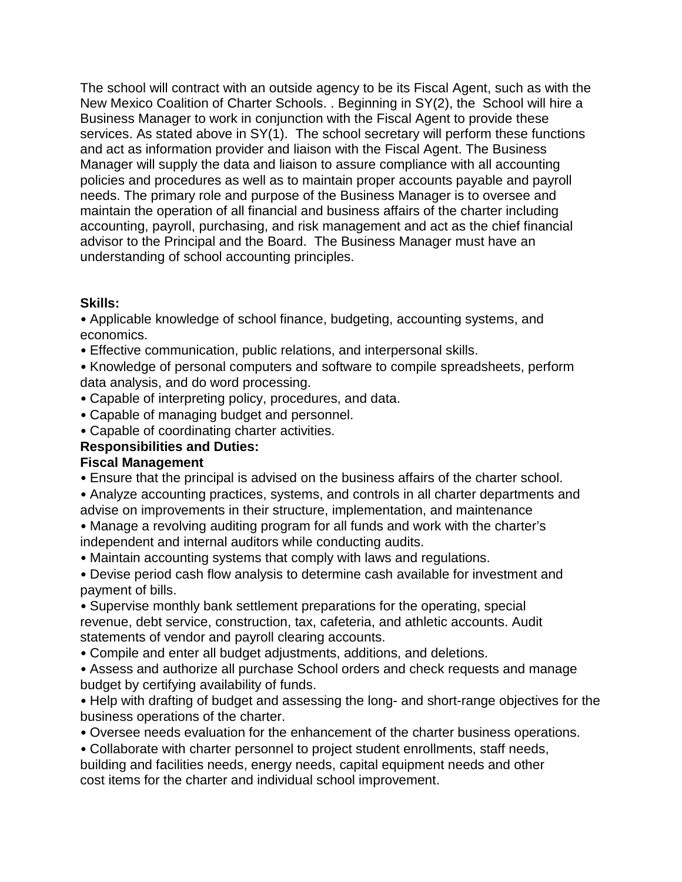The school will contract with an outside agency to be its Fiscal Agent, such as with the New Mexico Coalition of Charter Schools. . Beginning in SY(2), the School will hire a Business Manager to work in conjunction with the Fiscal Agent to provide these services. As stated above in SY(1). The school secretary will perform these functions and act as information provider and liaison with the Fiscal Agent. The Business Manager will supply the data and liaison to assure compliance with all accounting policies and procedures as well as to maintain proper accounts payable and payroll needs. The primary role and purpose of the Business Manager is to oversee and maintain the operation of all financial and business affairs of the charter including accounting, payroll, purchasing, and risk management and act as the chief financial advisor to the Principal and the Board. The Business Manager must have an understanding of school accounting principles.

## **Skills:**

• Applicable knowledge of school finance, budgeting, accounting systems, and economics.

- Effective communication, public relations, and interpersonal skills.
- Knowledge of personal computers and software to compile spreadsheets, perform data analysis, and do word processing.
- Capable of interpreting policy, procedures, and data.
- Capable of managing budget and personnel.
- Capable of coordinating charter activities.

# **Responsibilities and Duties:**

## **Fiscal Management**

- Ensure that the principal is advised on the business affairs of the charter school.
- Analyze accounting practices, systems, and controls in all charter departments and advise on improvements in their structure, implementation, and maintenance
- Manage a revolving auditing program for all funds and work with the charter's independent and internal auditors while conducting audits.
- Maintain accounting systems that comply with laws and regulations.
- Devise period cash flow analysis to determine cash available for investment and payment of bills.
- Supervise monthly bank settlement preparations for the operating, special revenue, debt service, construction, tax, cafeteria, and athletic accounts. Audit statements of vendor and payroll clearing accounts.
- Compile and enter all budget adjustments, additions, and deletions.
- Assess and authorize all purchase School orders and check requests and manage budget by certifying availability of funds.
- Help with drafting of budget and assessing the long- and short-range objectives for the business operations of the charter.
- Oversee needs evaluation for the enhancement of the charter business operations.
- Collaborate with charter personnel to project student enrollments, staff needs, building and facilities needs, energy needs, capital equipment needs and other cost items for the charter and individual school improvement.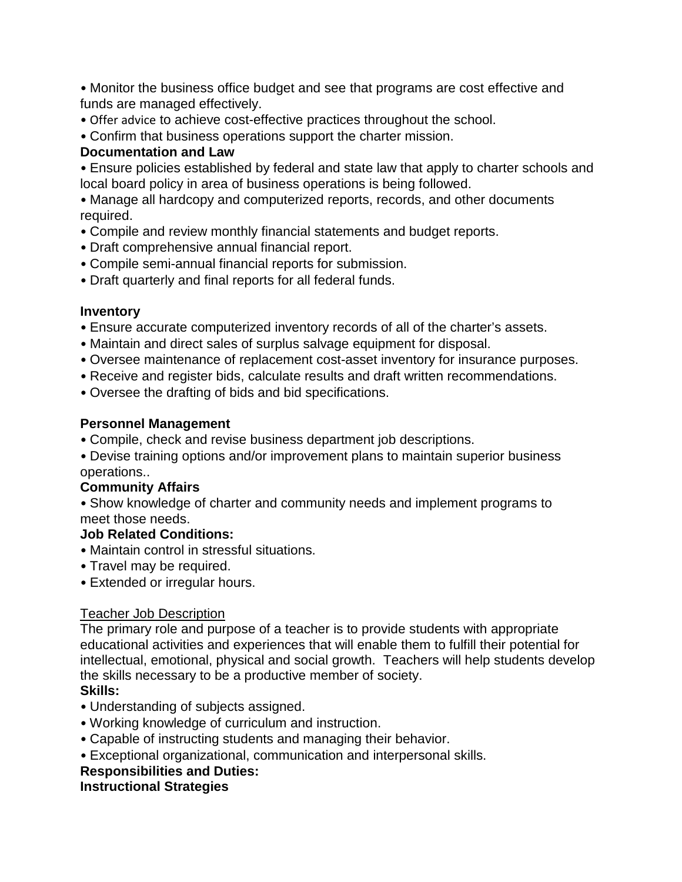• Monitor the business office budget and see that programs are cost effective and funds are managed effectively.

- Offer advice to achieve cost-effective practices throughout the school.
- Confirm that business operations support the charter mission.

# **Documentation and Law**

• Ensure policies established by federal and state law that apply to charter schools and local board policy in area of business operations is being followed.

• Manage all hardcopy and computerized reports, records, and other documents required.

- Compile and review monthly financial statements and budget reports.
- Draft comprehensive annual financial report.
- Compile semi-annual financial reports for submission.
- Draft quarterly and final reports for all federal funds.

# **Inventory**

- Ensure accurate computerized inventory records of all of the charter's assets.
- Maintain and direct sales of surplus salvage equipment for disposal.
- Oversee maintenance of replacement cost-asset inventory for insurance purposes.
- Receive and register bids, calculate results and draft written recommendations.
- Oversee the drafting of bids and bid specifications.

# **Personnel Management**

- Compile, check and revise business department job descriptions.
- Devise training options and/or improvement plans to maintain superior business operations..

# **Community Affairs**

• Show knowledge of charter and community needs and implement programs to meet those needs.

## **Job Related Conditions:**

- Maintain control in stressful situations.
- Travel may be required.
- Extended or irregular hours.

# Teacher Job Description

The primary role and purpose of a teacher is to provide students with appropriate educational activities and experiences that will enable them to fulfill their potential for intellectual, emotional, physical and social growth. Teachers will help students develop the skills necessary to be a productive member of society. **Skills:**

- Understanding of subjects assigned.
- Working knowledge of curriculum and instruction.
- Capable of instructing students and managing their behavior.
- Exceptional organizational, communication and interpersonal skills.

# **Responsibilities and Duties:**

## **Instructional Strategies**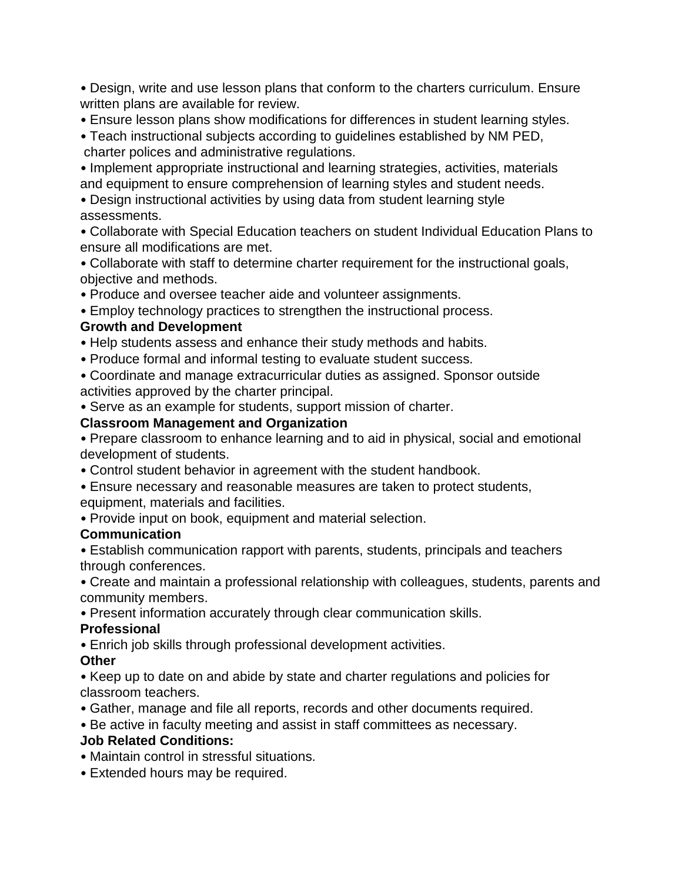• Design, write and use lesson plans that conform to the charters curriculum. Ensure written plans are available for review.

- Ensure lesson plans show modifications for differences in student learning styles.
- Teach instructional subjects according to guidelines established by NM PED, charter polices and administrative regulations.

• Implement appropriate instructional and learning strategies, activities, materials and equipment to ensure comprehension of learning styles and student needs.

• Design instructional activities by using data from student learning style assessments.

• Collaborate with Special Education teachers on student Individual Education Plans to ensure all modifications are met.

• Collaborate with staff to determine charter requirement for the instructional goals, objective and methods.

• Produce and oversee teacher aide and volunteer assignments.

• Employ technology practices to strengthen the instructional process.

## **Growth and Development**

• Help students assess and enhance their study methods and habits.

- Produce formal and informal testing to evaluate student success.
- Coordinate and manage extracurricular duties as assigned. Sponsor outside activities approved by the charter principal.
- Serve as an example for students, support mission of charter.

## **Classroom Management and Organization**

• Prepare classroom to enhance learning and to aid in physical, social and emotional development of students.

- Control student behavior in agreement with the student handbook.
- Ensure necessary and reasonable measures are taken to protect students, equipment, materials and facilities.
- Provide input on book, equipment and material selection.

## **Communication**

• Establish communication rapport with parents, students, principals and teachers through conferences.

• Create and maintain a professional relationship with colleagues, students, parents and community members.

• Present information accurately through clear communication skills.

## **Professional**

• Enrich job skills through professional development activities.

## **Other**

• Keep up to date on and abide by state and charter regulations and policies for classroom teachers.

- Gather, manage and file all reports, records and other documents required.
- Be active in faculty meeting and assist in staff committees as necessary.

## **Job Related Conditions:**

- Maintain control in stressful situations.
- Extended hours may be required.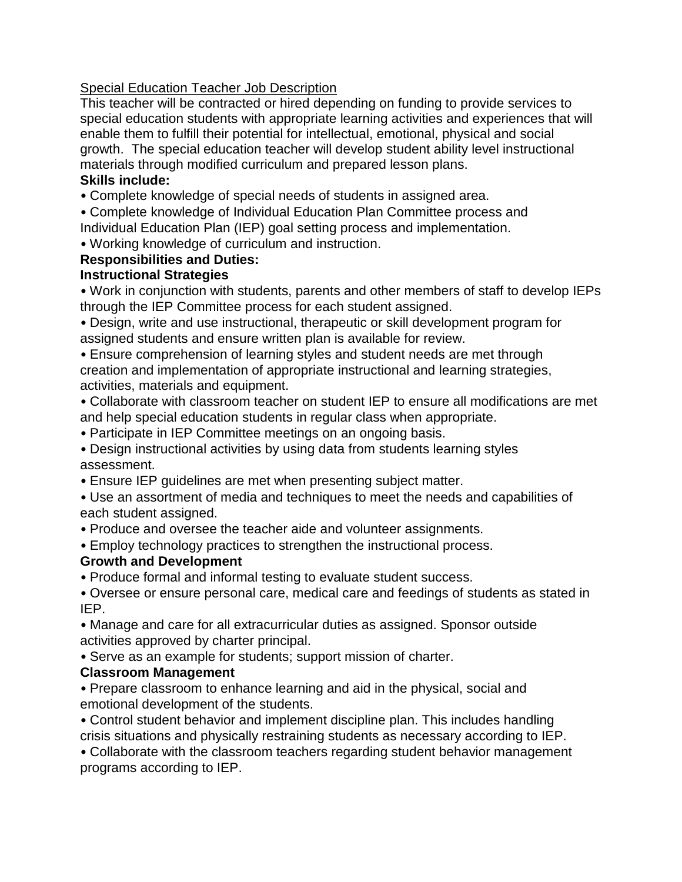## Special Education Teacher Job Description

This teacher will be contracted or hired depending on funding to provide services to special education students with appropriate learning activities and experiences that will enable them to fulfill their potential for intellectual, emotional, physical and social growth. The special education teacher will develop student ability level instructional materials through modified curriculum and prepared lesson plans.

#### **Skills include:**

• Complete knowledge of special needs of students in assigned area.

• Complete knowledge of Individual Education Plan Committee process and Individual Education Plan (IEP) goal setting process and implementation.

• Working knowledge of curriculum and instruction.

#### **Responsibilities and Duties:**

#### **Instructional Strategies**

• Work in conjunction with students, parents and other members of staff to develop IEPs through the IEP Committee process for each student assigned.

• Design, write and use instructional, therapeutic or skill development program for assigned students and ensure written plan is available for review.

• Ensure comprehension of learning styles and student needs are met through creation and implementation of appropriate instructional and learning strategies, activities, materials and equipment.

• Collaborate with classroom teacher on student IEP to ensure all modifications are met and help special education students in regular class when appropriate.

• Participate in IEP Committee meetings on an ongoing basis.

• Design instructional activities by using data from students learning styles assessment.

• Ensure IEP guidelines are met when presenting subject matter.

• Use an assortment of media and techniques to meet the needs and capabilities of each student assigned.

• Produce and oversee the teacher aide and volunteer assignments.

• Employ technology practices to strengthen the instructional process.

#### **Growth and Development**

• Produce formal and informal testing to evaluate student success.

• Oversee or ensure personal care, medical care and feedings of students as stated in IEP.

• Manage and care for all extracurricular duties as assigned. Sponsor outside activities approved by charter principal.

• Serve as an example for students; support mission of charter.

## **Classroom Management**

• Prepare classroom to enhance learning and aid in the physical, social and emotional development of the students.

• Control student behavior and implement discipline plan. This includes handling crisis situations and physically restraining students as necessary according to IEP.

• Collaborate with the classroom teachers regarding student behavior management programs according to IEP.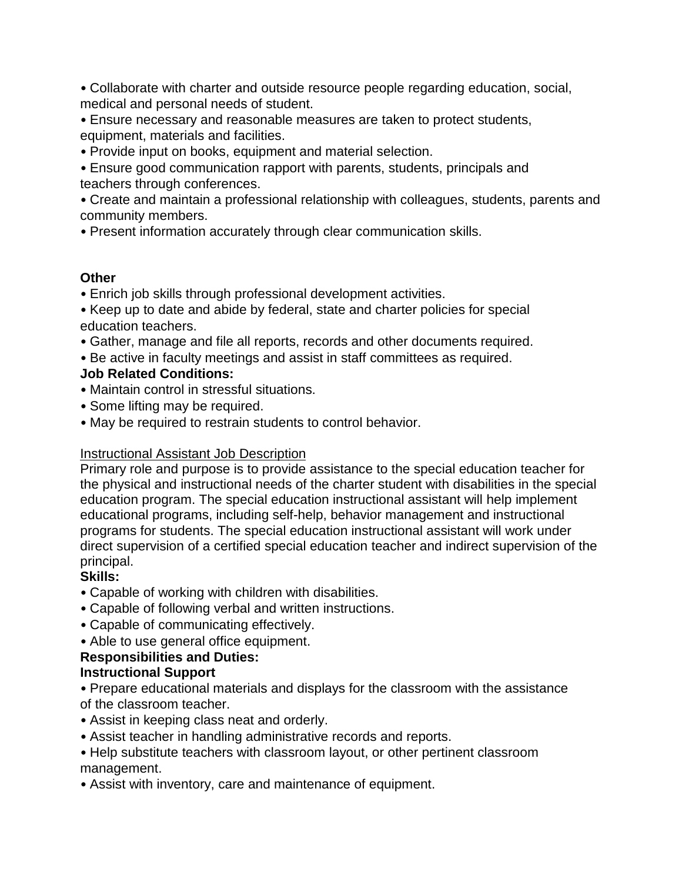• Collaborate with charter and outside resource people regarding education, social, medical and personal needs of student.

• Ensure necessary and reasonable measures are taken to protect students, equipment, materials and facilities.

• Provide input on books, equipment and material selection.

• Ensure good communication rapport with parents, students, principals and teachers through conferences.

• Create and maintain a professional relationship with colleagues, students, parents and community members.

• Present information accurately through clear communication skills.

#### **Other**

• Enrich job skills through professional development activities.

• Keep up to date and abide by federal, state and charter policies for special education teachers.

• Gather, manage and file all reports, records and other documents required.

• Be active in faculty meetings and assist in staff committees as required.

# **Job Related Conditions:**

- Maintain control in stressful situations.
- Some lifting may be required.
- May be required to restrain students to control behavior.

## Instructional Assistant Job Description

Primary role and purpose is to provide assistance to the special education teacher for the physical and instructional needs of the charter student with disabilities in the special education program. The special education instructional assistant will help implement educational programs, including self-help, behavior management and instructional programs for students. The special education instructional assistant will work under direct supervision of a certified special education teacher and indirect supervision of the principal.

## **Skills:**

- Capable of working with children with disabilities.
- Capable of following verbal and written instructions.
- Capable of communicating effectively.
- Able to use general office equipment.

## **Responsibilities and Duties:**

## **Instructional Support**

• Prepare educational materials and displays for the classroom with the assistance of the classroom teacher.

- Assist in keeping class neat and orderly.
- Assist teacher in handling administrative records and reports.
- Help substitute teachers with classroom layout, or other pertinent classroom management.
- Assist with inventory, care and maintenance of equipment.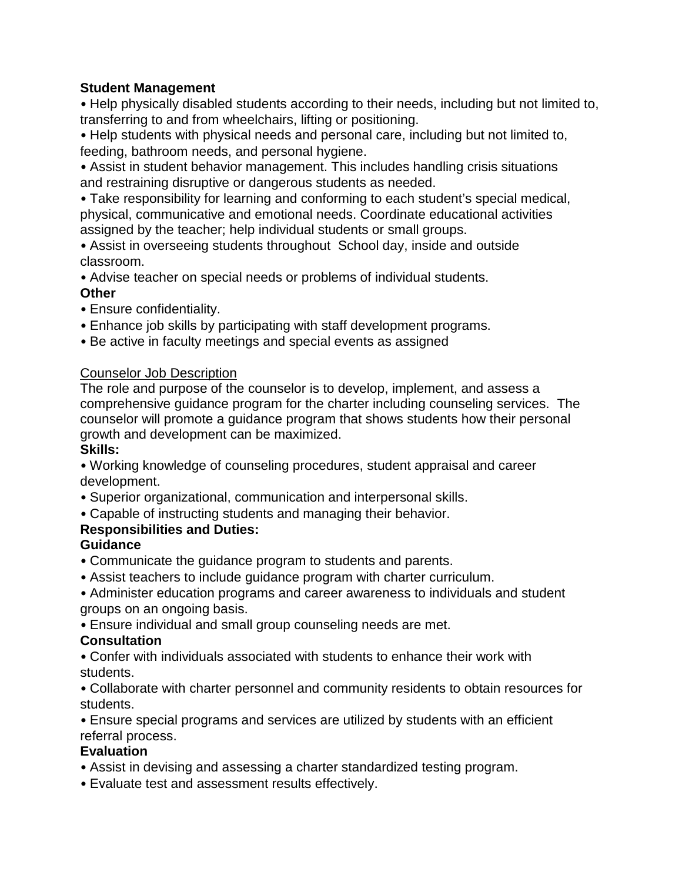#### **Student Management**

• Help physically disabled students according to their needs, including but not limited to, transferring to and from wheelchairs, lifting or positioning.

• Help students with physical needs and personal care, including but not limited to, feeding, bathroom needs, and personal hygiene.

• Assist in student behavior management. This includes handling crisis situations and restraining disruptive or dangerous students as needed.

• Take responsibility for learning and conforming to each student's special medical, physical, communicative and emotional needs. Coordinate educational activities assigned by the teacher; help individual students or small groups.

• Assist in overseeing students throughout School day, inside and outside classroom.

• Advise teacher on special needs or problems of individual students. **Other**

- Ensure confidentiality.
- Enhance job skills by participating with staff development programs.
- Be active in faculty meetings and special events as assigned

#### Counselor Job Description

The role and purpose of the counselor is to develop, implement, and assess a comprehensive guidance program for the charter including counseling services. The counselor will promote a guidance program that shows students how their personal growth and development can be maximized.

## **Skills:**

• Working knowledge of counseling procedures, student appraisal and career development.

- Superior organizational, communication and interpersonal skills.
- Capable of instructing students and managing their behavior.

# **Responsibilities and Duties:**

# **Guidance**

- Communicate the guidance program to students and parents.
- Assist teachers to include guidance program with charter curriculum.
- Administer education programs and career awareness to individuals and student groups on an ongoing basis.
- Ensure individual and small group counseling needs are met.

#### **Consultation**

• Confer with individuals associated with students to enhance their work with students.

• Collaborate with charter personnel and community residents to obtain resources for students.

• Ensure special programs and services are utilized by students with an efficient referral process.

## **Evaluation**

- Assist in devising and assessing a charter standardized testing program.
- Evaluate test and assessment results effectively.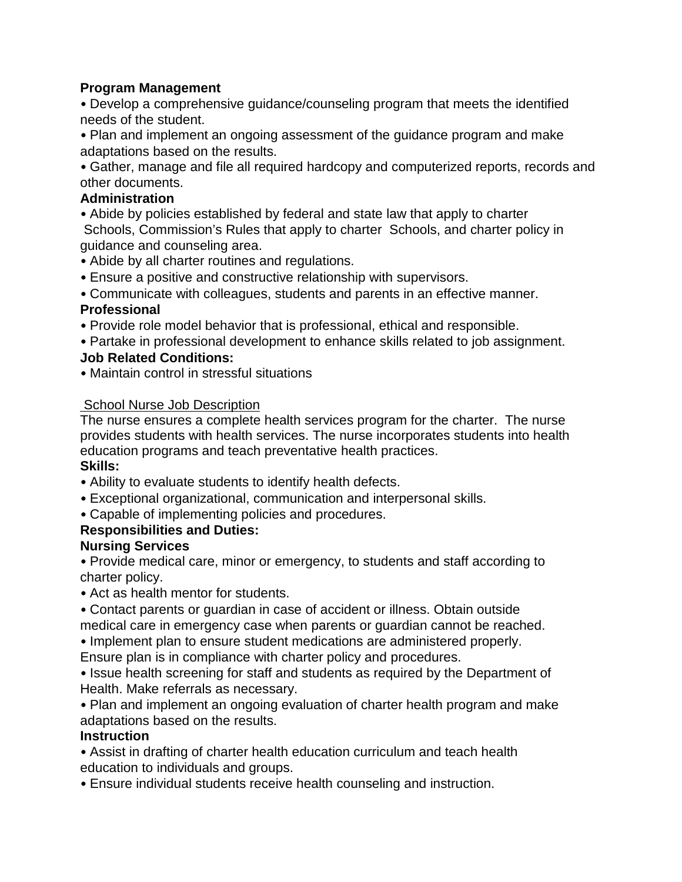#### **Program Management**

• Develop a comprehensive guidance/counseling program that meets the identified needs of the student.

• Plan and implement an ongoing assessment of the guidance program and make adaptations based on the results.

• Gather, manage and file all required hardcopy and computerized reports, records and other documents.

#### **Administration**

• Abide by policies established by federal and state law that apply to charter Schools, Commission's Rules that apply to charter Schools, and charter policy in guidance and counseling area.

- Abide by all charter routines and regulations.
- Ensure a positive and constructive relationship with supervisors.

• Communicate with colleagues, students and parents in an effective manner.

## **Professional**

• Provide role model behavior that is professional, ethical and responsible.

- Partake in professional development to enhance skills related to job assignment. **Job Related Conditions:**
- Maintain control in stressful situations

#### **School Nurse Job Description**

The nurse ensures a complete health services program for the charter. The nurse provides students with health services. The nurse incorporates students into health education programs and teach preventative health practices.

## **Skills:**

- Ability to evaluate students to identify health defects.
- Exceptional organizational, communication and interpersonal skills.
- Capable of implementing policies and procedures.

## **Responsibilities and Duties:**

## **Nursing Services**

• Provide medical care, minor or emergency, to students and staff according to charter policy.

• Act as health mentor for students.

• Contact parents or guardian in case of accident or illness. Obtain outside medical care in emergency case when parents or guardian cannot be reached. • Implement plan to ensure student medications are administered properly.

Ensure plan is in compliance with charter policy and procedures.

• Issue health screening for staff and students as required by the Department of Health. Make referrals as necessary.

• Plan and implement an ongoing evaluation of charter health program and make adaptations based on the results.

#### **Instruction**

• Assist in drafting of charter health education curriculum and teach health education to individuals and groups.

• Ensure individual students receive health counseling and instruction.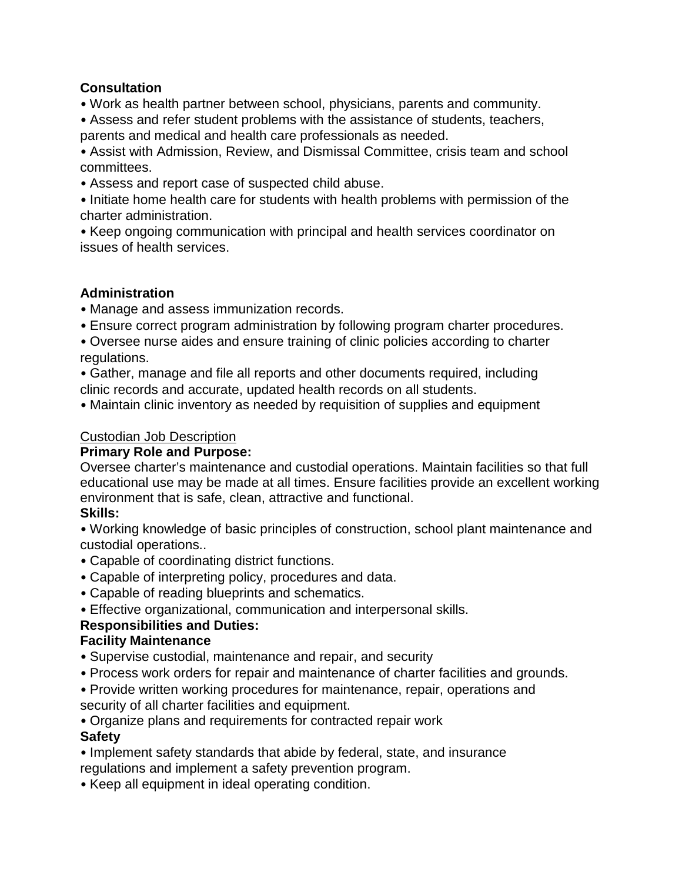## **Consultation**

- Work as health partner between school, physicians, parents and community.
- Assess and refer student problems with the assistance of students, teachers, parents and medical and health care professionals as needed.

• Assist with Admission, Review, and Dismissal Committee, crisis team and school committees.

• Assess and report case of suspected child abuse.

• Initiate home health care for students with health problems with permission of the charter administration.

• Keep ongoing communication with principal and health services coordinator on issues of health services.

## **Administration**

- Manage and assess immunization records.
- Ensure correct program administration by following program charter procedures.
- Oversee nurse aides and ensure training of clinic policies according to charter regulations.
- Gather, manage and file all reports and other documents required, including clinic records and accurate, updated health records on all students.
- Maintain clinic inventory as needed by requisition of supplies and equipment

## Custodian Job Description

## **Primary Role and Purpose:**

Oversee charter's maintenance and custodial operations. Maintain facilities so that full educational use may be made at all times. Ensure facilities provide an excellent working environment that is safe, clean, attractive and functional.

#### **Skills:**

• Working knowledge of basic principles of construction, school plant maintenance and custodial operations..

- Capable of coordinating district functions.
- Capable of interpreting policy, procedures and data.
- Capable of reading blueprints and schematics.
- Effective organizational, communication and interpersonal skills.

## **Responsibilities and Duties:**

## **Facility Maintenance**

- Supervise custodial, maintenance and repair, and security
- Process work orders for repair and maintenance of charter facilities and grounds.
- Provide written working procedures for maintenance, repair, operations and security of all charter facilities and equipment.
- Organize plans and requirements for contracted repair work

## **Safety**

- Implement safety standards that abide by federal, state, and insurance regulations and implement a safety prevention program.
- Keep all equipment in ideal operating condition.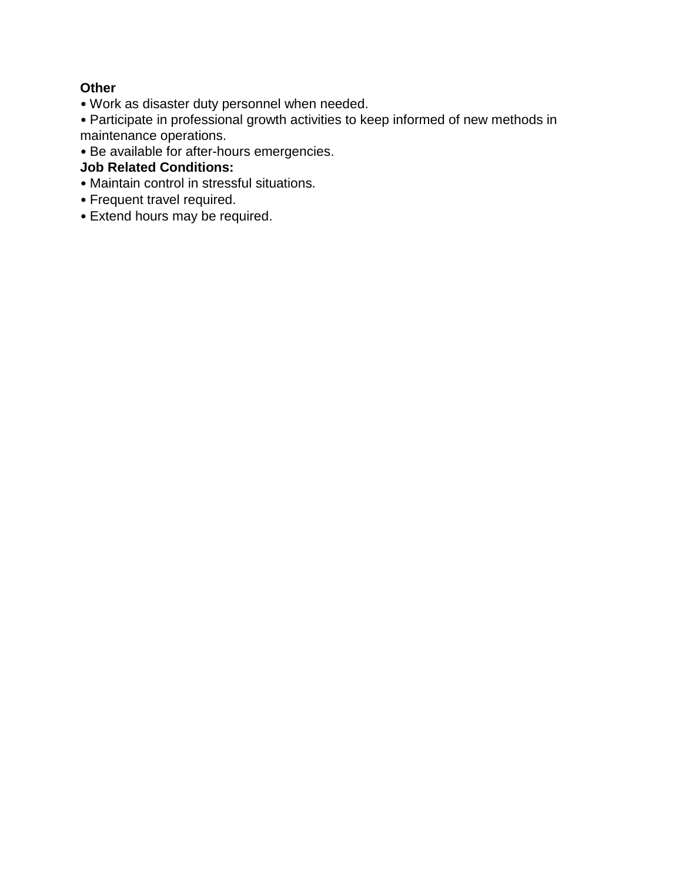## **Other**

- Work as disaster duty personnel when needed.
- Participate in professional growth activities to keep informed of new methods in maintenance operations.
- Be available for after-hours emergencies.

## **Job Related Conditions:**

- Maintain control in stressful situations.
- Frequent travel required.
- Extend hours may be required.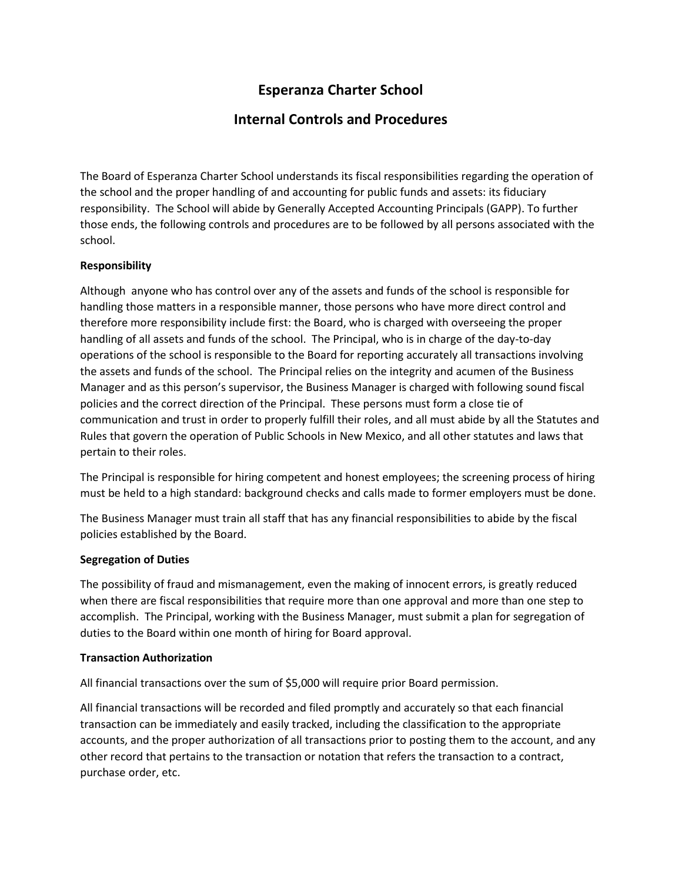# **Esperanza Charter School**

## **Internal Controls and Procedures**

The Board of Esperanza Charter School understands its fiscal responsibilities regarding the operation of the school and the proper handling of and accounting for public funds and assets: its fiduciary responsibility. The School will abide by Generally Accepted Accounting Principals (GAPP). To further those ends, the following controls and procedures are to be followed by all persons associated with the school.

#### **Responsibility**

Although anyone who has control over any of the assets and funds of the school is responsible for handling those matters in a responsible manner, those persons who have more direct control and therefore more responsibility include first: the Board, who is charged with overseeing the proper handling of all assets and funds of the school. The Principal, who is in charge of the day-to-day operations of the school is responsible to the Board for reporting accurately all transactions involving the assets and funds of the school. The Principal relies on the integrity and acumen of the Business Manager and as this person's supervisor, the Business Manager is charged with following sound fiscal policies and the correct direction of the Principal. These persons must form a close tie of communication and trust in order to properly fulfill their roles, and all must abide by all the Statutes and Rules that govern the operation of Public Schools in New Mexico, and all other statutes and laws that pertain to their roles.

The Principal is responsible for hiring competent and honest employees; the screening process of hiring must be held to a high standard: background checks and calls made to former employers must be done.

The Business Manager must train all staff that has any financial responsibilities to abide by the fiscal policies established by the Board.

#### **Segregation of Duties**

The possibility of fraud and mismanagement, even the making of innocent errors, is greatly reduced when there are fiscal responsibilities that require more than one approval and more than one step to accomplish. The Principal, working with the Business Manager, must submit a plan for segregation of duties to the Board within one month of hiring for Board approval.

#### **Transaction Authorization**

All financial transactions over the sum of \$5,000 will require prior Board permission.

All financial transactions will be recorded and filed promptly and accurately so that each financial transaction can be immediately and easily tracked, including the classification to the appropriate accounts, and the proper authorization of all transactions prior to posting them to the account, and any other record that pertains to the transaction or notation that refers the transaction to a contract, purchase order, etc.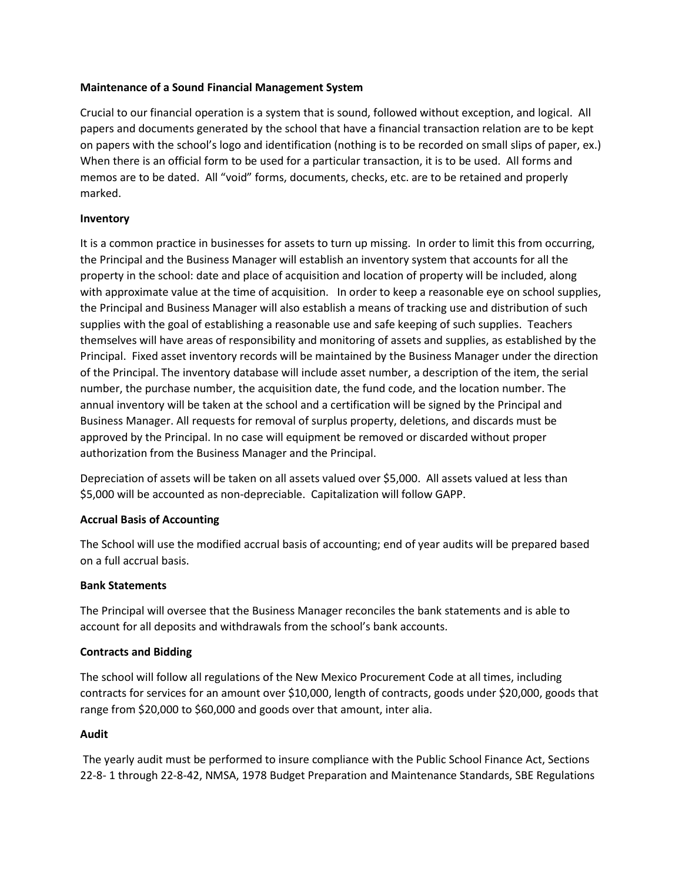#### **Maintenance of a Sound Financial Management System**

Crucial to our financial operation is a system that is sound, followed without exception, and logical. All papers and documents generated by the school that have a financial transaction relation are to be kept on papers with the school's logo and identification (nothing is to be recorded on small slips of paper, ex.) When there is an official form to be used for a particular transaction, it is to be used. All forms and memos are to be dated. All "void" forms, documents, checks, etc. are to be retained and properly marked.

#### **Inventory**

It is a common practice in businesses for assets to turn up missing. In order to limit this from occurring, the Principal and the Business Manager will establish an inventory system that accounts for all the property in the school: date and place of acquisition and location of property will be included, along with approximate value at the time of acquisition. In order to keep a reasonable eye on school supplies, the Principal and Business Manager will also establish a means of tracking use and distribution of such supplies with the goal of establishing a reasonable use and safe keeping of such supplies. Teachers themselves will have areas of responsibility and monitoring of assets and supplies, as established by the Principal. Fixed asset inventory records will be maintained by the Business Manager under the direction of the Principal. The inventory database will include asset number, a description of the item, the serial number, the purchase number, the acquisition date, the fund code, and the location number. The annual inventory will be taken at the school and a certification will be signed by the Principal and Business Manager. All requests for removal of surplus property, deletions, and discards must be approved by the Principal. In no case will equipment be removed or discarded without proper authorization from the Business Manager and the Principal.

Depreciation of assets will be taken on all assets valued over \$5,000. All assets valued at less than \$5,000 will be accounted as non-depreciable. Capitalization will follow GAPP.

#### **Accrual Basis of Accounting**

The School will use the modified accrual basis of accounting; end of year audits will be prepared based on a full accrual basis.

#### **Bank Statements**

The Principal will oversee that the Business Manager reconciles the bank statements and is able to account for all deposits and withdrawals from the school's bank accounts.

#### **Contracts and Bidding**

The school will follow all regulations of the New Mexico Procurement Code at all times, including contracts for services for an amount over \$10,000, length of contracts, goods under \$20,000, goods that range from \$20,000 to \$60,000 and goods over that amount, inter alia.

#### **Audit**

The yearly audit must be performed to insure compliance with the Public School Finance Act, Sections 22-8- 1 through 22-8-42, NMSA, 1978 Budget Preparation and Maintenance Standards, SBE Regulations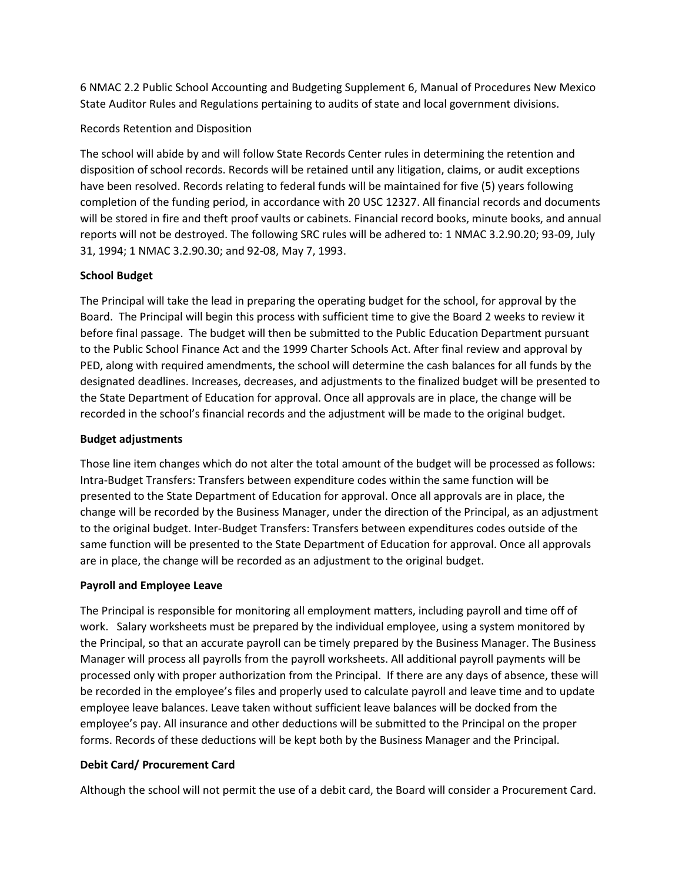6 NMAC 2.2 Public School Accounting and Budgeting Supplement 6, Manual of Procedures New Mexico State Auditor Rules and Regulations pertaining to audits of state and local government divisions.

#### Records Retention and Disposition

The school will abide by and will follow State Records Center rules in determining the retention and disposition of school records. Records will be retained until any litigation, claims, or audit exceptions have been resolved. Records relating to federal funds will be maintained for five (5) years following completion of the funding period, in accordance with 20 USC 12327. All financial records and documents will be stored in fire and theft proof vaults or cabinets. Financial record books, minute books, and annual reports will not be destroyed. The following SRC rules will be adhered to: 1 NMAC 3.2.90.20; 93-09, July 31, 1994; 1 NMAC 3.2.90.30; and 92-08, May 7, 1993.

#### **School Budget**

The Principal will take the lead in preparing the operating budget for the school, for approval by the Board. The Principal will begin this process with sufficient time to give the Board 2 weeks to review it before final passage. The budget will then be submitted to the Public Education Department pursuant to the Public School Finance Act and the 1999 Charter Schools Act. After final review and approval by PED, along with required amendments, the school will determine the cash balances for all funds by the designated deadlines. Increases, decreases, and adjustments to the finalized budget will be presented to the State Department of Education for approval. Once all approvals are in place, the change will be recorded in the school's financial records and the adjustment will be made to the original budget.

#### **Budget adjustments**

Those line item changes which do not alter the total amount of the budget will be processed as follows: Intra-Budget Transfers: Transfers between expenditure codes within the same function will be presented to the State Department of Education for approval. Once all approvals are in place, the change will be recorded by the Business Manager, under the direction of the Principal, as an adjustment to the original budget. Inter-Budget Transfers: Transfers between expenditures codes outside of the same function will be presented to the State Department of Education for approval. Once all approvals are in place, the change will be recorded as an adjustment to the original budget.

#### **Payroll and Employee Leave**

The Principal is responsible for monitoring all employment matters, including payroll and time off of work. Salary worksheets must be prepared by the individual employee, using a system monitored by the Principal, so that an accurate payroll can be timely prepared by the Business Manager. The Business Manager will process all payrolls from the payroll worksheets. All additional payroll payments will be processed only with proper authorization from the Principal. If there are any days of absence, these will be recorded in the employee's files and properly used to calculate payroll and leave time and to update employee leave balances. Leave taken without sufficient leave balances will be docked from the employee's pay. All insurance and other deductions will be submitted to the Principal on the proper forms. Records of these deductions will be kept both by the Business Manager and the Principal.

#### **Debit Card/ Procurement Card**

Although the school will not permit the use of a debit card, the Board will consider a Procurement Card.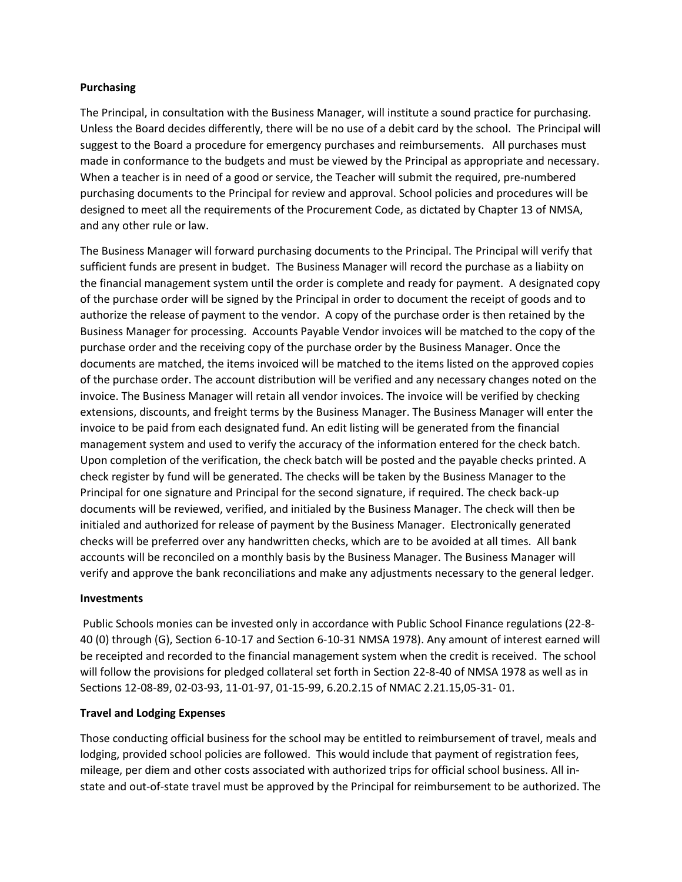#### **Purchasing**

The Principal, in consultation with the Business Manager, will institute a sound practice for purchasing. Unless the Board decides differently, there will be no use of a debit card by the school. The Principal will suggest to the Board a procedure for emergency purchases and reimbursements. All purchases must made in conformance to the budgets and must be viewed by the Principal as appropriate and necessary. When a teacher is in need of a good or service, the Teacher will submit the required, pre-numbered purchasing documents to the Principal for review and approval. School policies and procedures will be designed to meet all the requirements of the Procurement Code, as dictated by Chapter 13 of NMSA, and any other rule or law.

The Business Manager will forward purchasing documents to the Principal. The Principal will verify that sufficient funds are present in budget. The Business Manager will record the purchase as a liabiity on the financial management system until the order is complete and ready for payment. A designated copy of the purchase order will be signed by the Principal in order to document the receipt of goods and to authorize the release of payment to the vendor. A copy of the purchase order is then retained by the Business Manager for processing. Accounts Payable Vendor invoices will be matched to the copy of the purchase order and the receiving copy of the purchase order by the Business Manager. Once the documents are matched, the items invoiced will be matched to the items listed on the approved copies of the purchase order. The account distribution will be verified and any necessary changes noted on the invoice. The Business Manager will retain all vendor invoices. The invoice will be verified by checking extensions, discounts, and freight terms by the Business Manager. The Business Manager will enter the invoice to be paid from each designated fund. An edit listing will be generated from the financial management system and used to verify the accuracy of the information entered for the check batch. Upon completion of the verification, the check batch will be posted and the payable checks printed. A check register by fund will be generated. The checks will be taken by the Business Manager to the Principal for one signature and Principal for the second signature, if required. The check back-up documents will be reviewed, verified, and initialed by the Business Manager. The check will then be initialed and authorized for release of payment by the Business Manager. Electronically generated checks will be preferred over any handwritten checks, which are to be avoided at all times. All bank accounts will be reconciled on a monthly basis by the Business Manager. The Business Manager will verify and approve the bank reconciliations and make any adjustments necessary to the general ledger.

#### **Investments**

Public Schools monies can be invested only in accordance with Public School Finance regulations (22-8- 40 (0) through (G), Section 6-10-17 and Section 6-10-31 NMSA 1978). Any amount of interest earned will be receipted and recorded to the financial management system when the credit is received. The school will follow the provisions for pledged collateral set forth in Section 22-8-40 of NMSA 1978 as well as in Sections 12-08-89, 02-03-93, 11-01-97, 01-15-99, 6.20.2.15 of NMAC 2.21.15,05-31- 01.

#### **Travel and Lodging Expenses**

Those conducting official business for the school may be entitled to reimbursement of travel, meals and lodging, provided school policies are followed. This would include that payment of registration fees, mileage, per diem and other costs associated with authorized trips for official school business. All instate and out-of-state travel must be approved by the Principal for reimbursement to be authorized. The